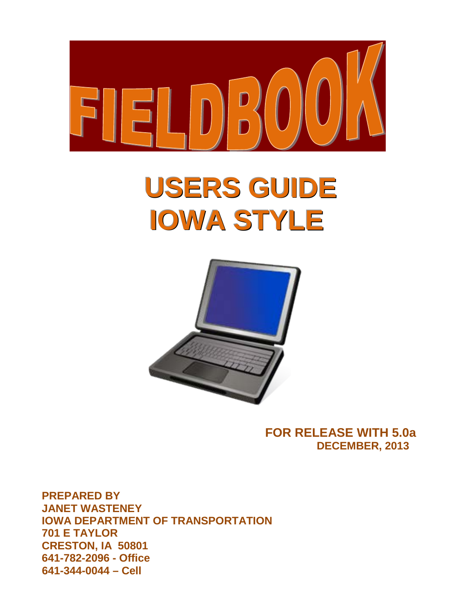

# **USERS GUIDE IOWA STYLE**



**FOR RELEASE WITH 5.0a DECEMBER, 2013**

**PREPARED BY JANET WASTENEY IOWA DEPARTMENT OF TRANSPORTATION 701 E TAYLOR CRESTON, IA 50801 641-782-2096 - Office 641-344-0044 – Cell**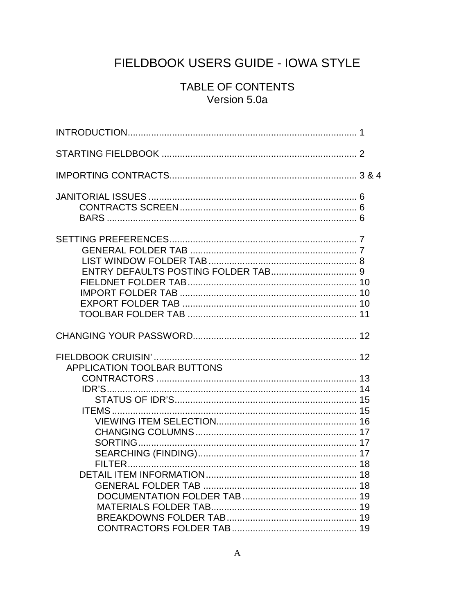# FIELDBOOK USERS GUIDE - IOWA STYLE

# TABLE OF CONTENTS Version 5.0a

| APPLICATION TOOLBAR BUTTONS |  |
|-----------------------------|--|
|                             |  |
|                             |  |
|                             |  |
|                             |  |
|                             |  |
|                             |  |
|                             |  |
|                             |  |
|                             |  |
|                             |  |
|                             |  |
|                             |  |
|                             |  |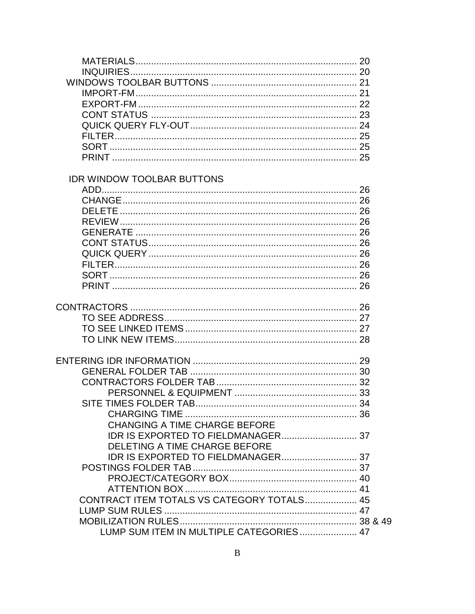| <b>IDR WINDOW TOOLBAR BUTTONS</b>          |  |
|--------------------------------------------|--|
|                                            |  |
|                                            |  |
|                                            |  |
|                                            |  |
|                                            |  |
|                                            |  |
|                                            |  |
|                                            |  |
|                                            |  |
|                                            |  |
|                                            |  |
|                                            |  |
|                                            |  |
|                                            |  |
|                                            |  |
|                                            |  |
|                                            |  |
|                                            |  |
|                                            |  |
|                                            |  |
|                                            |  |
|                                            |  |
|                                            |  |
| <b>CHANGING A TIME CHARGE BEFORE</b>       |  |
|                                            |  |
| DELETING A TIME CHARGE BEFORE              |  |
|                                            |  |
|                                            |  |
|                                            |  |
|                                            |  |
|                                            |  |
| CONTRACT ITEM TOTALS VS CATEGORY TOTALS 45 |  |
|                                            |  |
|                                            |  |
| LUMP SUM ITEM IN MULTIPLE CATEGORIES 47    |  |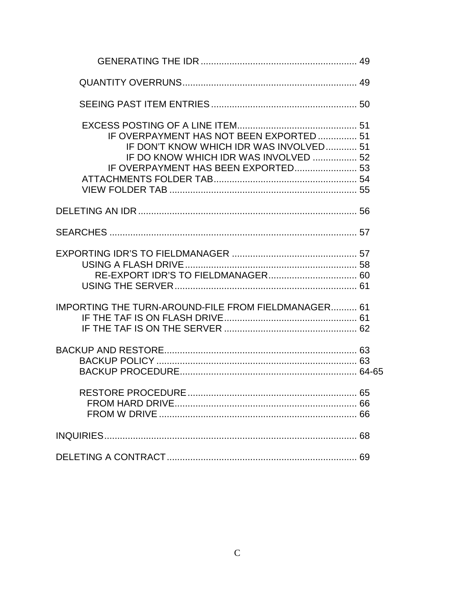| IF OVERPAYMENT HAS NOT BEEN EXPORTED 51<br>IF DON'T KNOW WHICH IDR WAS INVOLVED 51<br>IF DO KNOW WHICH IDR WAS INVOLVED  52<br>IF OVERPAYMENT HAS BEEN EXPORTED 53 |  |
|--------------------------------------------------------------------------------------------------------------------------------------------------------------------|--|
|                                                                                                                                                                    |  |
|                                                                                                                                                                    |  |
|                                                                                                                                                                    |  |
| <b>IMPORTING THE TURN-AROUND-FILE FROM FIELDMANAGER 61</b>                                                                                                         |  |
|                                                                                                                                                                    |  |
|                                                                                                                                                                    |  |
|                                                                                                                                                                    |  |
|                                                                                                                                                                    |  |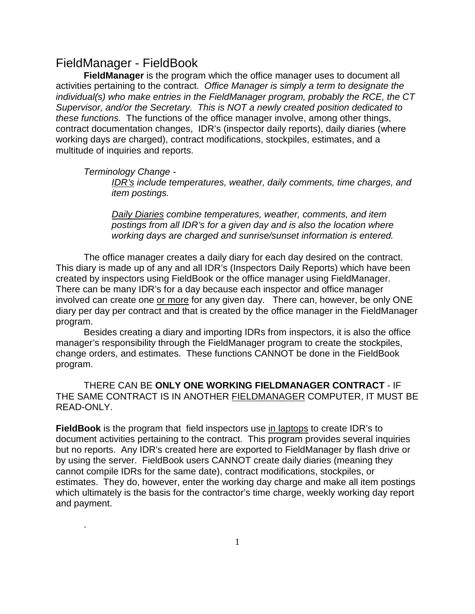# FieldManager - FieldBook

**FieldManager** is the program which the office manager uses to document all activities pertaining to the contract. *Office Manager is simply a term to designate the individual(s) who make entries in the FieldManager program, probably the RCE, the CT Supervisor, and/or the Secretary. This is NOT a newly created position dedicated to these functions.* The functions of the office manager involve, among other things, contract documentation changes, IDR's (inspector daily reports), daily diaries (where working days are charged), contract modifications, stockpiles, estimates, and a multitude of inquiries and reports.

*Terminology Change -*

.

*IDR's include temperatures, weather, daily comments, time charges, and item postings.* 

*Daily Diaries combine temperatures, weather, comments, and item postings from all IDR's for a given day and is also the location where working days are charged and sunrise/sunset information is entered.*

The office manager creates a daily diary for each day desired on the contract. This diary is made up of any and all IDR's (Inspectors Daily Reports) which have been created by inspectors using FieldBook or the office manager using FieldManager. There can be many IDR's for a day because each inspector and office manager involved can create one or more for any given day. There can, however, be only ONE diary per day per contract and that is created by the office manager in the FieldManager program.

Besides creating a diary and importing IDRs from inspectors, it is also the office manager's responsibility through the FieldManager program to create the stockpiles, change orders, and estimates. These functions CANNOT be done in the FieldBook program.

THERE CAN BE **ONLY ONE WORKING FIELDMANAGER CONTRACT** - IF THE SAME CONTRACT IS IN ANOTHER FIELDMANAGER COMPUTER, IT MUST BE READ-ONLY.

**FieldBook** is the program that field inspectors use in laptops to create IDR's to document activities pertaining to the contract. This program provides several inquiries but no reports. Any IDR's created here are exported to FieldManager by flash drive or by using the server. FieldBook users CANNOT create daily diaries (meaning they cannot compile IDRs for the same date), contract modifications, stockpiles, or estimates. They do, however, enter the working day charge and make all item postings which ultimately is the basis for the contractor's time charge, weekly working day report and payment.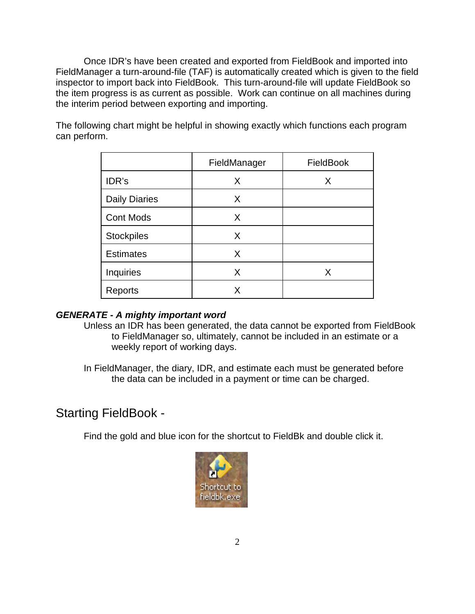Once IDR's have been created and exported from FieldBook and imported into FieldManager a turn-around-file (TAF) is automatically created which is given to the field inspector to import back into FieldBook. This turn-around-file will update FieldBook so the item progress is as current as possible. Work can continue on all machines during the interim period between exporting and importing.

The following chart might be helpful in showing exactly which functions each program can perform.

|                      | FieldManager | FieldBook |
|----------------------|--------------|-----------|
| IDR's                | X            | X         |
| <b>Daily Diaries</b> | X            |           |
| <b>Cont Mods</b>     | X            |           |
| <b>Stockpiles</b>    | X            |           |
| <b>Estimates</b>     | X            |           |
| Inquiries            | X            | X         |
| Reports              | x            |           |

# *GENERATE - A mighty important word*

Unless an IDR has been generated, the data cannot be exported from FieldBook to FieldManager so, ultimately, cannot be included in an estimate or a weekly report of working days.

In FieldManager, the diary, IDR, and estimate each must be generated before the data can be included in a payment or time can be charged.

# Starting FieldBook -

Find the gold and blue icon for the shortcut to FieldBk and double click it.

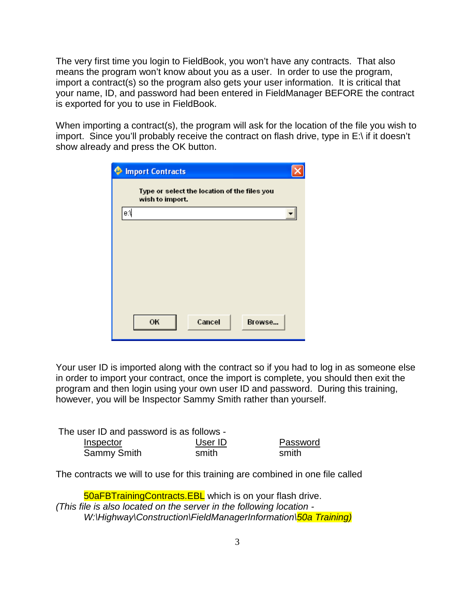The very first time you login to FieldBook, you won't have any contracts. That also means the program won't know about you as a user. In order to use the program, import a contract(s) so the program also gets your user information. It is critical that your name, ID, and password had been entered in FieldManager BEFORE the contract is exported for you to use in FieldBook.

When importing a contract(s), the program will ask for the location of the file you wish to import. Since you'll probably receive the contract on flash drive, type in E:\ if it doesn't show already and press the OK button.

|     | <b>Import Contracts</b>                                         |  |
|-----|-----------------------------------------------------------------|--|
|     | Type or select the location of the files you<br>wish to import. |  |
| e:≬ |                                                                 |  |
|     |                                                                 |  |
|     |                                                                 |  |
|     |                                                                 |  |
|     |                                                                 |  |
|     |                                                                 |  |
|     |                                                                 |  |
|     | OK<br>Cancel<br>Browse                                          |  |
|     |                                                                 |  |

Your user ID is imported along with the contract so if you had to log in as someone else in order to import your contract, once the import is complete, you should then exit the program and then login using your own user ID and password. During this training, however, you will be Inspector Sammy Smith rather than yourself.

| The user ID and password is as follows - |         |          |  |  |  |  |  |
|------------------------------------------|---------|----------|--|--|--|--|--|
| Inspector                                | User ID | Password |  |  |  |  |  |
| Sammy Smith                              | smith   | smith    |  |  |  |  |  |

The contracts we will to use for this training are combined in one file called

50aFBTrainingContracts.EBL which is on your flash drive. *(This file is also located on the server in the following location - W:\Highway\Construction\FieldManagerInformation\50a Training)*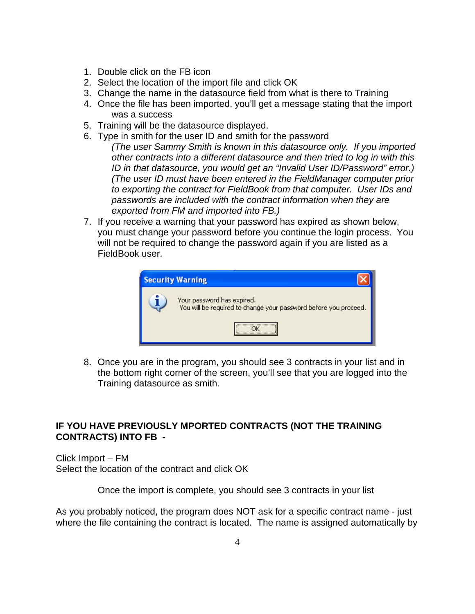- 1. Double click on the FB icon
- 2. Select the location of the import file and click OK
- 3. Change the name in the datasource field from what is there to Training
- 4. Once the file has been imported, you'll get a message stating that the import was a success
- 5. Training will be the datasource displayed.
- 6. Type in smith for the user ID and smith for the password
	- *(The user Sammy Smith is known in this datasource only. If you imported other contracts into a different datasource and then tried to log in with this ID in that datasource, you would get an "Invalid User ID/Password" error.) (The user ID must have been entered in the FieldManager computer prior to exporting the contract for FieldBook from that computer. User IDs and passwords are included with the contract information when they are exported from FM and imported into FB.)*
- 7. If you receive a warning that your password has expired as shown below, you must change your password before you continue the login process. You will not be required to change the password again if you are listed as a FieldBook user.

| <b>Security Warning</b>                                                                        |
|------------------------------------------------------------------------------------------------|
| Your password has expired.<br>You will be required to change your password before you proceed. |
|                                                                                                |

8. Once you are in the program, you should see 3 contracts in your list and in the bottom right corner of the screen, you'll see that you are logged into the Training datasource as smith.

# **IF YOU HAVE PREVIOUSLY MPORTED CONTRACTS (NOT THE TRAINING CONTRACTS) INTO FB -**

Click Import – FM Select the location of the contract and click OK

Once the import is complete, you should see 3 contracts in your list

As you probably noticed, the program does NOT ask for a specific contract name - just where the file containing the contract is located. The name is assigned automatically by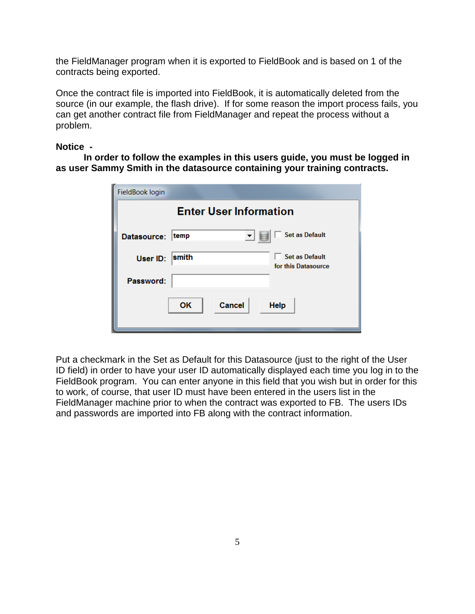the FieldManager program when it is exported to FieldBook and is based on 1 of the contracts being exported.

Once the contract file is imported into FieldBook, it is automatically deleted from the source (in our example, the flash drive). If for some reason the import process fails, you can get another contract file from FieldManager and repeat the process without a problem.

# **Notice -**

**In order to follow the examples in this users guide, you must be logged in as user Sammy Smith in the datasource containing your training contracts.**

| FieldBook login |                                                       |  |  |  |  |  |  |  |  |
|-----------------|-------------------------------------------------------|--|--|--|--|--|--|--|--|
|                 | <b>Enter User Information</b>                         |  |  |  |  |  |  |  |  |
| Datasource:     | <b>Set as Default</b><br>temp                         |  |  |  |  |  |  |  |  |
| User ID:        | <b>Set as Default</b><br>smith<br>for this Datasource |  |  |  |  |  |  |  |  |
| Password:       |                                                       |  |  |  |  |  |  |  |  |
|                 | OK<br>Cancel<br><b>Help</b>                           |  |  |  |  |  |  |  |  |

Put a checkmark in the Set as Default for this Datasource (just to the right of the User ID field) in order to have your user ID automatically displayed each time you log in to the FieldBook program. You can enter anyone in this field that you wish but in order for this to work, of course, that user ID must have been entered in the users list in the FieldManager machine prior to when the contract was exported to FB. The users IDs and passwords are imported into FB along with the contract information.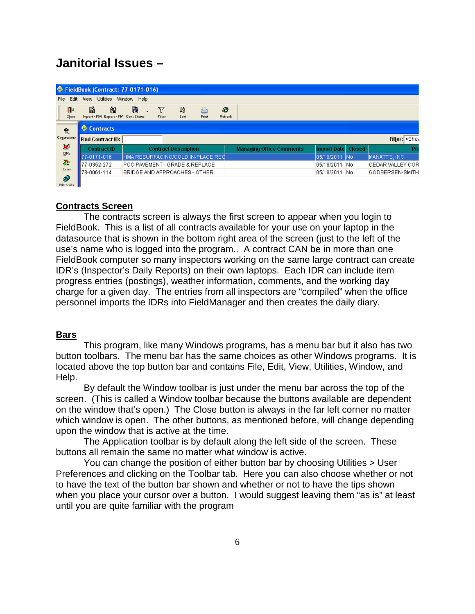# **Janitorial Issues –**

|                       | FieldBook (Contract: 77-0171-016)             |             |             |                                           |                   |                      |                                 |                    |               |                               |
|-----------------------|-----------------------------------------------|-------------|-------------|-------------------------------------------|-------------------|----------------------|---------------------------------|--------------------|---------------|-------------------------------|
| Edit<br>File          | <b>Utilities</b><br>View                      | Window Help |             |                                           |                   |                      |                                 |                    |               |                               |
| ŀ<br>Close            | 똅<br>阊<br>Import - FM Export - FM Cont Status | 圈           | Y<br>Filter | 12<br>Sort                                | è<br><b>Print</b> | R)<br><b>Refresh</b> |                                 |                    |               |                               |
| 츘                     | Contracts                                     |             |             |                                           |                   |                      |                                 |                    |               |                               |
| Contractors           | <b>Find Contract ID:</b>                      |             |             |                                           |                   |                      |                                 |                    |               | Filter: <shov< th=""></shov<> |
| 富                     | <b>Contract ID</b>                            |             |             | <b>Contract Description</b>               |                   |                      | <b>Managing Office Comments</b> | <b>Import Date</b> | <b>Closed</b> | Pr                            |
| IDRs                  | 77-0171-016                                   |             |             | HMA RESURFACING/COLD IN-PLACE REC         |                   |                      |                                 | 05/18/2011         | -INo          | MANATT'S, INC.                |
| ठँ                    | 77-0352-272                                   |             |             | <b>PCC PAVEMENT - GRADE &amp; REPLACE</b> |                   |                      |                                 | 05/18/2011         | No.           | <b>CEDAR VALLEY COR</b>       |
| Items                 | 78-0061-114                                   |             |             | BRIDGE AND APPROACHES - OTHER             |                   |                      |                                 | 05/18/2011         | No            | GODBERSEN-SMITH               |
| ◈<br>Ballymouth Links |                                               |             |             |                                           |                   |                      |                                 |                    |               |                               |

# **Contracts Screen**

The contracts screen is always the first screen to appear when you login to FieldBook. This is a list of all contracts available for your use on your laptop in the datasource that is shown in the bottom right area of the screen (just to the left of the use's name who is logged into the program.. A contract CAN be in more than one FieldBook computer so many inspectors working on the same large contract can create IDR's (Inspector's Daily Reports) on their own laptops. Each IDR can include item progress entries (postings), weather information, comments, and the working day charge for a given day. The entries from all inspectors are "compiled" when the office personnel imports the IDRs into FieldManager and then creates the daily diary.

## **Bars**

This program, like many Windows programs, has a menu bar but it also has two button toolbars. The menu bar has the same choices as other Windows programs. It is located above the top button bar and contains File, Edit, View, Utilities, Window, and Help.

By default the Window toolbar is just under the menu bar across the top of the screen. (This is called a Window toolbar because the buttons available are dependent on the window that's open.) The Close button is always in the far left corner no matter which window is open. The other buttons, as mentioned before, will change depending upon the window that is active at the time.

The Application toolbar is by default along the left side of the screen. These buttons all remain the same no matter what window is active.

You can change the position of either button bar by choosing Utilities > User Preferences and clicking on the Toolbar tab. Here you can also choose whether or not to have the text of the button bar shown and whether or not to have the tips shown when you place your cursor over a button. I would suggest leaving them "as is" at least until you are quite familiar with the program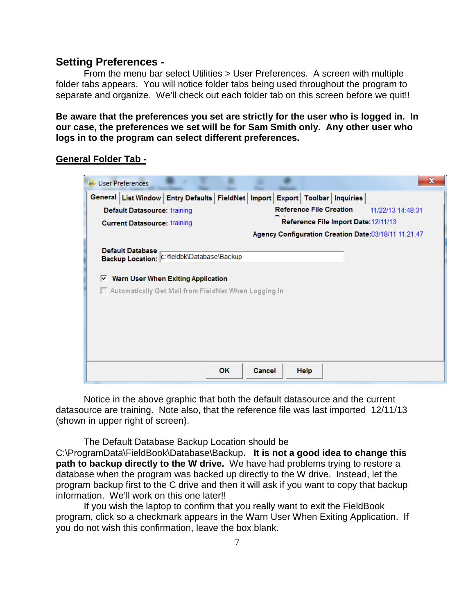# **Setting Preferences -**

From the menu bar select Utilities > User Preferences. A screen with multiple folder tabs appears. You will notice folder tabs being used throughout the program to separate and organize. We'll check out each folder tab on this screen before we quit!!

**Be aware that the preferences you set are strictly for the user who is logged in. In our case, the preferences we set will be for Sam Smith only. Any other user who logs in to the program can select different preferences.**

# **General Folder Tab -**



Notice in the above graphic that both the default datasource and the current datasource are training. Note also, that the reference file was last imported 12/11/13 (shown in upper right of screen).

The Default Database Backup Location should be C:\ProgramData\FieldBook\Database\Backup**. It is not a good idea to change this path to backup directly to the W drive.** We have had problems trying to restore a database when the program was backed up directly to the W drive. Instead, let the

program backup first to the C drive and then it will ask if you want to copy that backup information. We'll work on this one later!!

If you wish the laptop to confirm that you really want to exit the FieldBook program, click so a checkmark appears in the Warn User When Exiting Application. If you do not wish this confirmation, leave the box blank.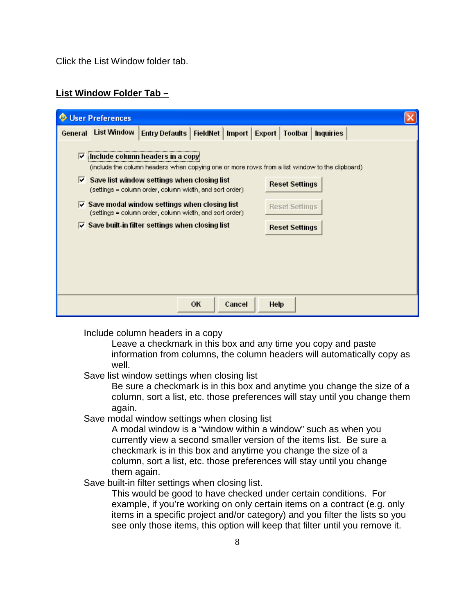Click the List Window folder tab.

# **List Window Folder Tab –**

|         | <b>User Preferences</b> |                                                                                                                                                                                                                                                                                                                              |          |        |                 |                                                |                  |  |
|---------|-------------------------|------------------------------------------------------------------------------------------------------------------------------------------------------------------------------------------------------------------------------------------------------------------------------------------------------------------------------|----------|--------|-----------------|------------------------------------------------|------------------|--|
| General | List Window             | Entry Defaults                                                                                                                                                                                                                                                                                                               | FieldNet |        | Import   Export | Toolbar                                        | <b>Inquiries</b> |  |
| M       |                         | Include column headers in a copy<br>(include the column headers when copying one or more rows from a list window to the clipboard)<br>$\triangledown$ Save list window settings when closing list<br>(settings = column order, column width, and sort order)<br>$\triangledown$ Save modal window settings when closing list |          |        |                 | <b>Reset Settings</b><br><b>Reset Settings</b> |                  |  |
|         |                         | (settings = column order, column width, and sort order)<br>$\overline{\vee}$ Save built-in filter settings when closing list                                                                                                                                                                                                 |          |        |                 | <b>Reset Settings</b>                          |                  |  |
|         |                         |                                                                                                                                                                                                                                                                                                                              | OK       | Cancel | <b>Help</b>     |                                                |                  |  |

Include column headers in a copy

Leave a checkmark in this box and any time you copy and paste information from columns, the column headers will automatically copy as well.

Save list window settings when closing list

Be sure a checkmark is in this box and anytime you change the size of a column, sort a list, etc. those preferences will stay until you change them again.

Save modal window settings when closing list

A modal window is a "window within a window" such as when you currently view a second smaller version of the items list. Be sure a checkmark is in this box and anytime you change the size of a column, sort a list, etc. those preferences will stay until you change them again.

Save built-in filter settings when closing list.

This would be good to have checked under certain conditions. For example, if you're working on only certain items on a contract (e.g. only items in a specific project and/or category) and you filter the lists so you see only those items, this option will keep that filter until you remove it.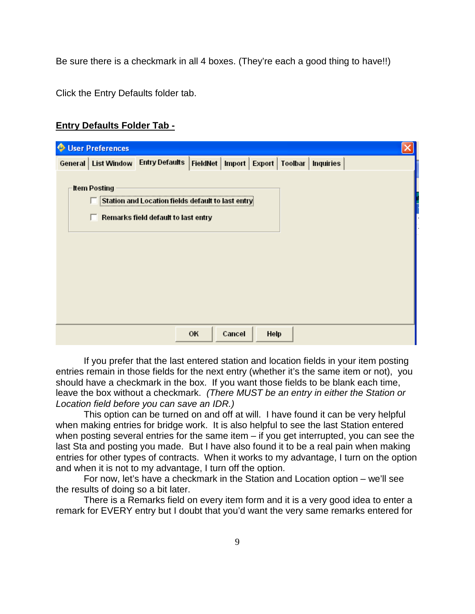Be sure there is a checkmark in all 4 boxes. (They're each a good thing to have!!)

Click the Entry Defaults folder tab.

# **Entry Defaults Folder Tab -**

| User Preferences    |                                                                                           |      |        |      |  |  |
|---------------------|-------------------------------------------------------------------------------------------|------|--------|------|--|--|
|                     | General   List Window   Entry Defaults   FieldNet   Import   Export   Toolbar   Inquiries |      |        |      |  |  |
|                     |                                                                                           |      |        |      |  |  |
| <b>Item Posting</b> |                                                                                           |      |        |      |  |  |
|                     | Station and Location fie                                                                  | s de |        |      |  |  |
|                     | Remarks field default to last entry                                                       |      |        |      |  |  |
|                     |                                                                                           |      |        |      |  |  |
|                     |                                                                                           |      |        |      |  |  |
|                     |                                                                                           |      |        |      |  |  |
|                     |                                                                                           |      |        |      |  |  |
|                     |                                                                                           |      |        |      |  |  |
|                     |                                                                                           |      |        |      |  |  |
|                     |                                                                                           |      |        |      |  |  |
|                     |                                                                                           |      |        |      |  |  |
|                     |                                                                                           |      |        |      |  |  |
|                     |                                                                                           | OK   | Cancel | Help |  |  |

If you prefer that the last entered station and location fields in your item posting entries remain in those fields for the next entry (whether it's the same item or not), you should have a checkmark in the box. If you want those fields to be blank each time, leave the box without a checkmark. *(There MUST be an entry in either the Station or Location field before you can save an IDR.)*

This option can be turned on and off at will. I have found it can be very helpful when making entries for bridge work. It is also helpful to see the last Station entered when posting several entries for the same item – if you get interrupted, you can see the last Sta and posting you made. But I have also found it to be a real pain when making entries for other types of contracts. When it works to my advantage, I turn on the option and when it is not to my advantage, I turn off the option.

For now, let's have a checkmark in the Station and Location option – we'll see the results of doing so a bit later.

There is a Remarks field on every item form and it is a very good idea to enter a remark for EVERY entry but I doubt that you'd want the very same remarks entered for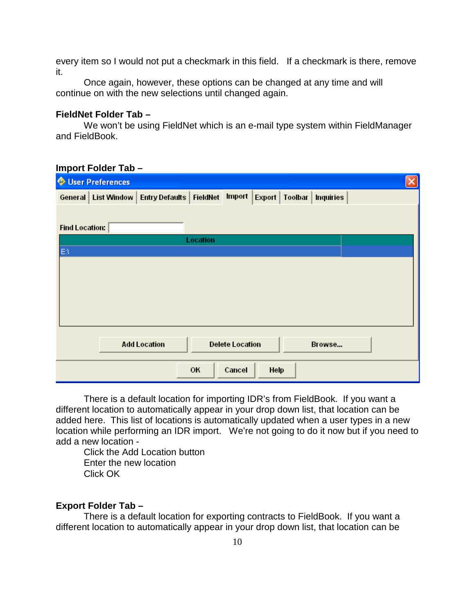every item so I would not put a checkmark in this field. If a checkmark is there, remove it.

Once again, however, these options can be changed at any time and will continue on with the new selections until changed again.

#### **FieldNet Folder Tab –**

We won't be using FieldNet which is an e-mail type system within FieldManager and FieldBook.

| <b>User Preferences</b>                                                                              |  |
|------------------------------------------------------------------------------------------------------|--|
| Import<br>General   List Window   Entry Defaults   FieldNet<br>Export<br>Toolbar<br><b>Inquiries</b> |  |
|                                                                                                      |  |
| Find Location:                                                                                       |  |
| Location                                                                                             |  |
| $E\Lambda$                                                                                           |  |
|                                                                                                      |  |
|                                                                                                      |  |
|                                                                                                      |  |
|                                                                                                      |  |
|                                                                                                      |  |
|                                                                                                      |  |
| <b>Add Location</b><br><b>Delete Location</b><br>Browse                                              |  |
| OK<br>Cancel<br>Help                                                                                 |  |

#### **Import Folder Tab –**

There is a default location for importing IDR's from FieldBook. If you want a different location to automatically appear in your drop down list, that location can be added here. This list of locations is automatically updated when a user types in a new location while performing an IDR import. We're not going to do it now but if you need to add a new location -

Click the Add Location button Enter the new location Click OK

#### **Export Folder Tab –**

There is a default location for exporting contracts to FieldBook. If you want a different location to automatically appear in your drop down list, that location can be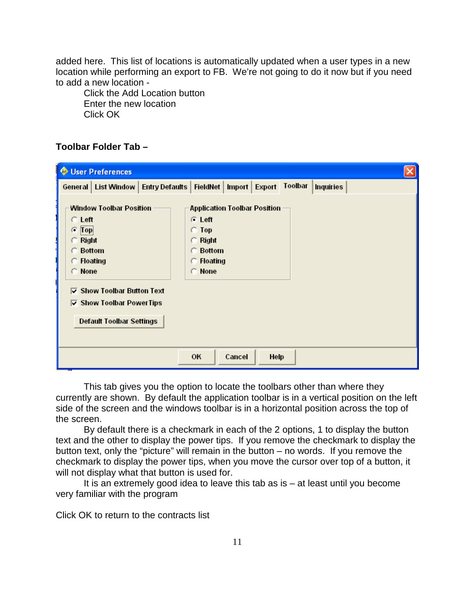added here. This list of locations is automatically updated when a user types in a new location while performing an export to FB. We're not going to do it now but if you need to add a new location -

Click the Add Location button Enter the new location Click OK

# **Toolbar Folder Tab –**

| <b>O</b> User Preferences                                                                                                                                                                  |                                                                                                                                        |
|--------------------------------------------------------------------------------------------------------------------------------------------------------------------------------------------|----------------------------------------------------------------------------------------------------------------------------------------|
| General   List Window   Entry Defaults   FieldNet   Import   Export                                                                                                                        | Toolbar<br><b>Inquiries</b>                                                                                                            |
| <b>Window Toolbar Position</b><br>$C$ Left<br>$\subset$ Top<br>. <del>.</del><br>$\subseteq$ Right<br><b>C</b> Bottom<br>$\subset$ Floating<br>C None<br>$\nabla$ Show Toolbar Button Text | <b>Application Toolbar Position</b><br>$C$ Left<br>$\subset$ Top<br>$\subset$ Right<br><b>C</b> Bottom<br>$\subset$ Floating<br>C None |
| <b>▽ Show Toolbar PowerTips</b>                                                                                                                                                            |                                                                                                                                        |
| <b>Default Toolbar Settings</b>                                                                                                                                                            |                                                                                                                                        |
|                                                                                                                                                                                            | OK<br>Cancel<br>Help                                                                                                                   |

This tab gives you the option to locate the toolbars other than where they currently are shown. By default the application toolbar is in a vertical position on the left side of the screen and the windows toolbar is in a horizontal position across the top of the screen.

By default there is a checkmark in each of the 2 options, 1 to display the button text and the other to display the power tips. If you remove the checkmark to display the button text, only the "picture" will remain in the button – no words. If you remove the checkmark to display the power tips, when you move the cursor over top of a button, it will not display what that button is used for.

It is an extremely good idea to leave this tab as  $is - at$  least until you become very familiar with the program

Click OK to return to the contracts list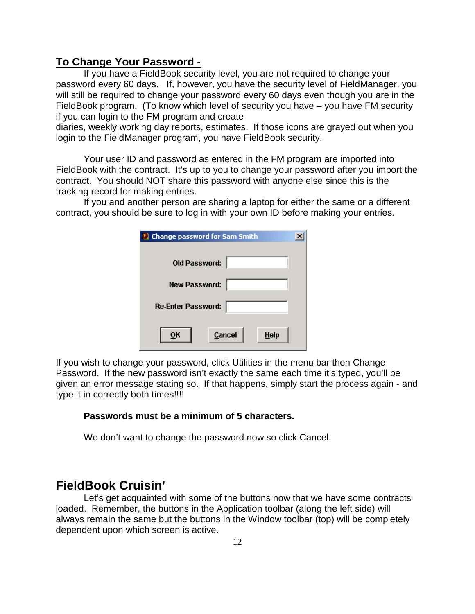# **To Change Your Password -**

If you have a FieldBook security level, you are not required to change your password every 60 days. If, however, you have the security level of FieldManager, you will still be required to change your password every 60 days even though you are in the FieldBook program. (To know which level of security you have – you have FM security if you can login to the FM program and create

diaries, weekly working day reports, estimates. If those icons are grayed out when you login to the FieldManager program, you have FieldBook security.

Your user ID and password as entered in the FM program are imported into FieldBook with the contract. It's up to you to change your password after you import the contract. You should NOT share this password with anyone else since this is the tracking record for making entries.

If you and another person are sharing a laptop for either the same or a different contract, you should be sure to log in with your own ID before making your entries.

| <b>Change password for Sam Smith</b> |  |
|--------------------------------------|--|
| Old Password:                        |  |
| New Password:                        |  |
| Re-Enter Password:                   |  |
| Cancel<br>Help<br>υĸ                 |  |

If you wish to change your password, click Utilities in the menu bar then Change Password. If the new password isn't exactly the same each time it's typed, you'll be given an error message stating so. If that happens, simply start the process again - and type it in correctly both times!!!!

## **Passwords must be a minimum of 5 characters.**

We don't want to change the password now so click Cancel.

# **FieldBook Cruisin'**

Let's get acquainted with some of the buttons now that we have some contracts loaded. Remember, the buttons in the Application toolbar (along the left side) will always remain the same but the buttons in the Window toolbar (top) will be completely dependent upon which screen is active.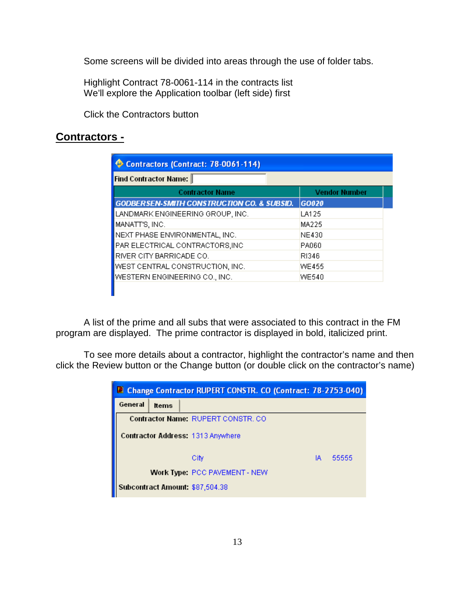Some screens will be divided into areas through the use of folder tabs.

Highlight Contract 78-0061-114 in the contracts list We'll explore the Application toolbar (left side) first

Click the Contractors button

# **Contractors -**

| Find Contractor Name:                                 |                      |
|-------------------------------------------------------|----------------------|
| <b>Contractor Name</b>                                | <b>Vendor Number</b> |
| <b>GODBERSEN-SMITH CONSTRUCTION CO. &amp; SUBSID.</b> | GO020                |
| LANDMARK ENGINEERING GROUP, INC.                      | LA125                |
| MANATT'S, INC.                                        | MA225                |
| NEXT PHASE ENVIRONMENTAL, INC.                        | <b>NE430</b>         |
| PAR ELECTRICAL CONTRACTORS, INC                       | PA060                |
| RIVER CITY BARRICADE CO.                              | RI346                |
| WEST CENTRAL CONSTRUCTION, INC.                       | WE455                |
| WESTERN ENGINEERING CO., INC.                         | <b>WE540</b>         |

A list of the prime and all subs that were associated to this contract in the FM program are displayed. The prime contractor is displayed in bold, italicized print.

To see more details about a contractor, highlight the contractor's name and then click the Review button or the Change button (or double click on the contractor's name)

|         |              | <b>D</b> Change Contractor RUPERT CONSTR. CO (Contract: 78-2753-040) |    |       |
|---------|--------------|----------------------------------------------------------------------|----|-------|
| General | <b>Items</b> |                                                                      |    |       |
|         |              | Contractor Name: RUPERT CONSTR. CO.                                  |    |       |
|         |              | Contractor Address: 1313 Anywhere                                    |    |       |
|         |              | City                                                                 | IA | 55555 |
|         |              | <b>Work Type: PCC PAVEMENT - NEW</b>                                 |    |       |
|         |              | Subcontract Amount: \$87,504.38                                      |    |       |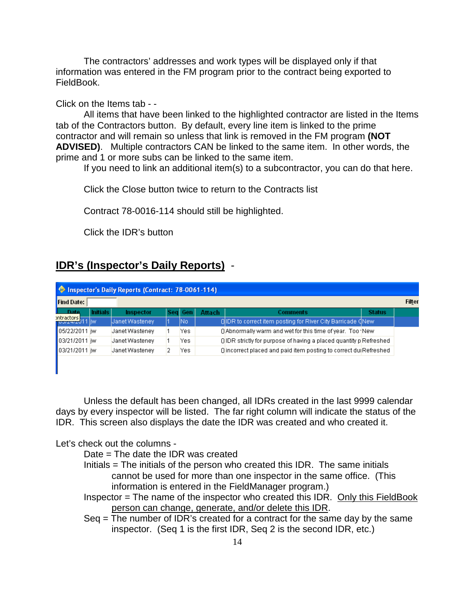The contractors' addresses and work types will be displayed only if that information was entered in the FM program prior to the contract being exported to FieldBook.

# Click on the Items tab - -

All items that have been linked to the highlighted contractor are listed in the Items tab of the Contractors button. By default, every line item is linked to the prime contractor and will remain so unless that link is removed in the FM program **(NOT ADVISED)**. Multiple contractors CAN be linked to the same item. In other words, the prime and 1 or more subs can be linked to the same item.

If you need to link an additional item(s) to a subcontractor, you can do that here.

Click the Close button twice to return to the Contracts list

Contract 78-0016-114 should still be highlighted.

Click the IDR's button

# **IDR's (Inspector's Daily Reports)** -

|                              |                 | <b>Contract: 78-0061-114)</b> Proports (Contract: 78-0061-114) |         |               |                                                                  |               |               |
|------------------------------|-----------------|----------------------------------------------------------------|---------|---------------|------------------------------------------------------------------|---------------|---------------|
| <b>Find Date:</b>            |                 |                                                                |         |               |                                                                  |               | <b>Filter</b> |
| Date                         | <b>Initials</b> | Inspector                                                      | Sea Gen | <b>Attach</b> | <b>Comments</b>                                                  | <b>Status</b> |               |
| ontractors<br>Toolzenzo11 jw |                 | Janet Wasteney                                                 | INo.    |               | . O IDR to correct item posting for River City Barricade (New    |               |               |
| <b>105/22/2011</b> iw        |                 | Janet Wasteney                                                 | Yes.    |               | CA B O Abnormally warm and wet for this time of year. Too New    |               |               |
| <b>103/21/2011</b> iw        |                 | Janet Wasteney                                                 | Yes.    |               | OIDR strictly for purpose of having a placed quantity pRefreshed |               |               |
| 03/21/2011 jw                |                 | Janet Wasteney                                                 | Yes.    |               | Olincorrect placed and paid item posting to correct dulRefreshed |               |               |
|                              |                 |                                                                |         |               |                                                                  |               |               |

Unless the default has been changed, all IDRs created in the last 9999 calendar days by every inspector will be listed. The far right column will indicate the status of the IDR. This screen also displays the date the IDR was created and who created it.

## Let's check out the columns -

- Date = The date the IDR was created
- Initials = The initials of the person who created this IDR. The same initials cannot be used for more than one inspector in the same office. (This information is entered in the FieldManager program.)
- Inspector = The name of the inspector who created this IDR. Only this FieldBook person can change, generate, and/or delete this IDR.
- Seq = The number of IDR's created for a contract for the same day by the same inspector. (Seq 1 is the first IDR, Seq 2 is the second IDR, etc.)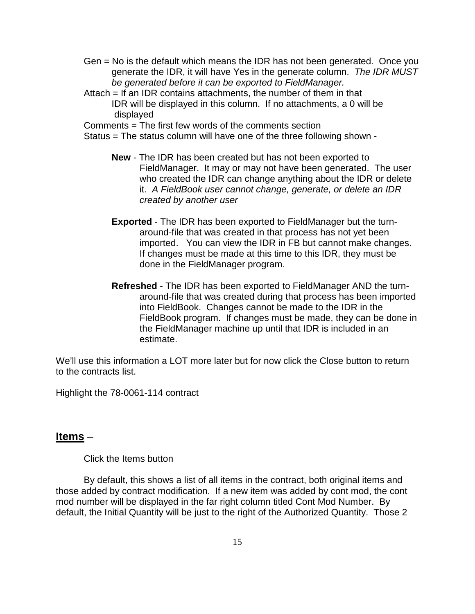- Gen = No is the default which means the IDR has not been generated. Once you generate the IDR, it will have Yes in the generate column. *The IDR MUST be generated before it can be exported to FieldManager.*
- Attach = If an IDR contains attachments, the number of them in that IDR will be displayed in this column. If no attachments, a 0 will be displayed

Comments = The first few words of the comments section

Status = The status column will have one of the three following shown -

- **New** The IDR has been created but has not been exported to FieldManager. It may or may not have been generated. The user who created the IDR can change anything about the IDR or delete it. *A FieldBook user cannot change, generate, or delete an IDR created by another user*
- **Exported** The IDR has been exported to FieldManager but the turnaround-file that was created in that process has not yet been imported. You can view the IDR in FB but cannot make changes. If changes must be made at this time to this IDR, they must be done in the FieldManager program.
- **Refreshed** The IDR has been exported to FieldManager AND the turnaround-file that was created during that process has been imported into FieldBook. Changes cannot be made to the IDR in the FieldBook program. If changes must be made, they can be done in the FieldManager machine up until that IDR is included in an estimate.

We'll use this information a LOT more later but for now click the Close button to return to the contracts list.

Highlight the 78-0061-114 contract

## **Items** –

Click the Items button

By default, this shows a list of all items in the contract, both original items and those added by contract modification. If a new item was added by cont mod, the cont mod number will be displayed in the far right column titled Cont Mod Number. By default, the Initial Quantity will be just to the right of the Authorized Quantity. Those 2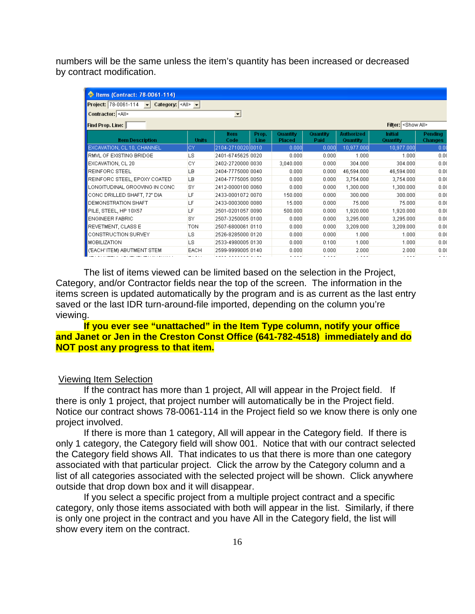numbers will be the same unless the item's quantity has been increased or decreased by contract modification.

| ltems (Contract: 78-0061-114)                                                                                 |              |                          |               |                           |                  |                        |                            |                                  |
|---------------------------------------------------------------------------------------------------------------|--------------|--------------------------|---------------|---------------------------|------------------|------------------------|----------------------------|----------------------------------|
| <b>Project:</b> 78-0061-114 $\blacktriangleright$ <b>Category:</b> $\triangleleft$ All> $\blacktriangleright$ |              |                          |               |                           |                  |                        |                            |                                  |
| Contractor: <all></all>                                                                                       |              | $\overline{\phantom{a}}$ |               |                           |                  |                        |                            |                                  |
| Find Prop. Line:                                                                                              |              |                          |               |                           |                  |                        | Filter: < Show All>        |                                  |
| <b>Item Description</b>                                                                                       | <b>Units</b> | <b>Item</b><br>Code      | Prop.<br>Line | Quantity<br><b>Placed</b> | Quantity<br>Paid | Authorized<br>Quantity | <b>Initial</b><br>Quantity | <b>Pending</b><br><b>Changes</b> |
| EXCAVATION, CL 10, CHANNEL                                                                                    | СY           | 2104-2710020 0010        |               | 0.000                     | 0.000            | 10,977.000             | 10,977.000                 | 0.0                              |
| RMVL OF EXISTING BRIDGE                                                                                       | LS           | 2401-6745625 0020        |               | 0.000                     | 0.000            | 1.000                  | 1.000                      | 0.0(                             |
| EXCAVATION, CL 20                                                                                             | СY           | 2402-2720000 0030        |               | 3,040.000                 | 0.000            | 304.000                | 304.000                    | 0.00                             |
| <b>REINFORC STEEL</b>                                                                                         | LB           | 2404-7775000 0040        |               | 0.000                     | 0.000            | 46,594.000             | 46,594.000                 | 0.00                             |
| REINFORC STEEL, EPOXY COATED                                                                                  | LB           | 2404-7775005 0050        |               | 0.000                     | 0.000            | 3,754.000              | 3,754.000                  | 0.00                             |
| LONGITUDINAL GROOVING IN CONC                                                                                 | <b>SY</b>    | 2412-0000100 0060        |               | 0.000                     | 0.000            | 1,300.000              | 1,300.000                  | 0.00                             |
| CONCIDRILLED SHAFT, 72" DIA                                                                                   | LF           | 2433-0001072 0070        |               | 150.000                   | 0.000            | 300,000                | 300,000                    | 0.00                             |
| DEMONSTRATION SHAFT                                                                                           | LF           | 2433-0003000 0080        |               | 15,000                    | 0.000            | 75,000                 | 75,000                     | 0.00                             |
| PILE, STEEL, HP 10X57                                                                                         | LF           | 2501-0201057 0090        |               | 500.000                   | 0.000            | 1,920.000              | 1,920.000                  | 0.00                             |
| ENGINEER FABRIC                                                                                               | <b>SY</b>    | 2507-3250005 0100        |               | 0.000                     | 0.000            | 3,295.000              | 3,295.000                  | 0.00                             |
| <b>REVETMENT, CLASS E</b>                                                                                     | <b>TON</b>   | 2507-6800061 0110        |               | 0.000                     | 0.000            | 3,209.000              | 3,209.000                  | 0.00                             |
| CONSTRUCTION SURVEY                                                                                           | <b>LS</b>    | 2526-8285000 0120        |               | 0.000                     | 0.000            | 1.000                  | 1.000                      | 0.00                             |
| MOBILIZATION                                                                                                  | LS           | 2533-4980005 0130        |               | 0.000                     | 0.100            | 1.000                  | 1.000                      | 0.00                             |
| ('EACH' ITEM) ABUTMENT STEM                                                                                   | EACH         | 2599-9999005 0140        |               | 0.000                     | 0.000            | 2.000                  | 2.000                      | 0.0(                             |
|                                                                                                               |              |                          |               | - ---                     | - ---            | $\sim$ $  -$           | $\cdot$ $  -$              | $\sim$ $\sim$                    |

The list of items viewed can be limited based on the selection in the Project, Category, and/or Contractor fields near the top of the screen. The information in the items screen is updated automatically by the program and is as current as the last entry saved or the last IDR turn-around-file imported, depending on the column you're viewing.

**If you ever see "unattached" in the Item Type column, notify your office and Janet or Jen in the Creston Const Office (641-782-4518) immediately and do NOT post any progress to that item.**

#### Viewing Item Selection

If the contract has more than 1 project, All will appear in the Project field. If there is only 1 project, that project number will automatically be in the Project field. Notice our contract shows 78-0061-114 in the Project field so we know there is only one project involved.

If there is more than 1 category, All will appear in the Category field. If there is only 1 category, the Category field will show 001. Notice that with our contract selected the Category field shows All. That indicates to us that there is more than one category associated with that particular project. Click the arrow by the Category column and a list of all categories associated with the selected project will be shown. Click anywhere outside that drop down box and it will disappear.

If you select a specific project from a multiple project contract and a specific category, only those items associated with both will appear in the list. Similarly, if there is only one project in the contract and you have All in the Category field, the list will show every item on the contract.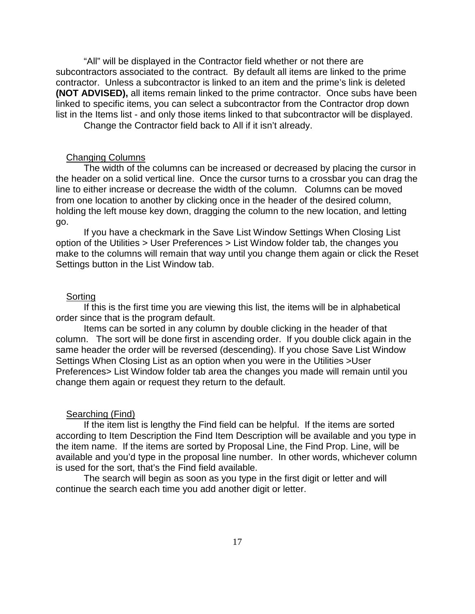"All" will be displayed in the Contractor field whether or not there are subcontractors associated to the contract. By default all items are linked to the prime contractor. Unless a subcontractor is linked to an item and the prime's link is deleted **(NOT ADVISED),** all items remain linked to the prime contractor. Once subs have been linked to specific items, you can select a subcontractor from the Contractor drop down list in the Items list - and only those items linked to that subcontractor will be displayed.

Change the Contractor field back to All if it isn't already.

#### Changing Columns

The width of the columns can be increased or decreased by placing the cursor in the header on a solid vertical line. Once the cursor turns to a crossbar you can drag the line to either increase or decrease the width of the column. Columns can be moved from one location to another by clicking once in the header of the desired column, holding the left mouse key down, dragging the column to the new location, and letting go.

If you have a checkmark in the Save List Window Settings When Closing List option of the Utilities > User Preferences > List Window folder tab, the changes you make to the columns will remain that way until you change them again or click the Reset Settings button in the List Window tab.

#### Sorting

If this is the first time you are viewing this list, the items will be in alphabetical order since that is the program default.

Items can be sorted in any column by double clicking in the header of that column. The sort will be done first in ascending order. If you double click again in the same header the order will be reversed (descending). If you chose Save List Window Settings When Closing List as an option when you were in the Utilities >User Preferences> List Window folder tab area the changes you made will remain until you change them again or request they return to the default.

#### Searching (Find)

If the item list is lengthy the Find field can be helpful. If the items are sorted according to Item Description the Find Item Description will be available and you type in the item name. If the items are sorted by Proposal Line, the Find Prop. Line, will be available and you'd type in the proposal line number. In other words, whichever column is used for the sort, that's the Find field available.

The search will begin as soon as you type in the first digit or letter and will continue the search each time you add another digit or letter.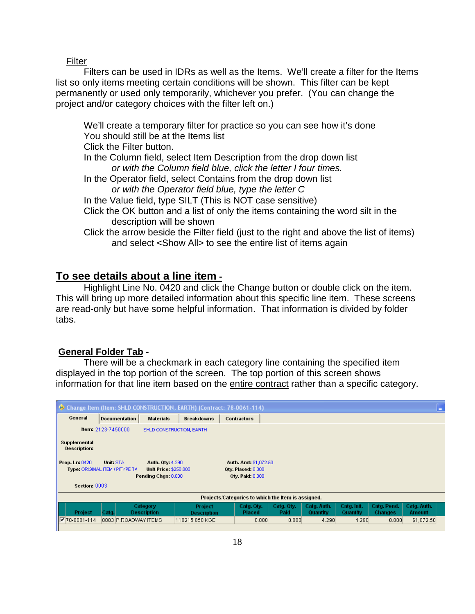#### Filter

Filters can be used in IDRs as well as the Items. We'll create a filter for the Items list so only items meeting certain conditions will be shown. This filter can be kept permanently or used only temporarily, whichever you prefer. (You can change the project and/or category choices with the filter left on.)

We'll create a temporary filter for practice so you can see how it's done You should still be at the Items list Click the Filter button.

In the Column field, select Item Description from the drop down list *or with the Column field blue, click the letter I four times.*

In the Operator field, select Contains from the drop down list *or with the Operator field blue, type the letter C*

In the Value field, type SILT (This is NOT case sensitive)

Click the OK button and a list of only the items containing the word silt in the description will be shown

Click the arrow beside the Filter field (just to the right and above the list of items) and select <Show All> to see the entire list of items again

## **To see details about a line item -**

Highlight Line No. 0420 and click the Change button or double click on the item. This will bring up more detailed information about this specific line item. These screens are read-only but have some helpful information. That information is divided by folder tabs.

#### **General Folder Tab -**

There will be a checkmark in each category line containing the specified item displayed in the top portion of the screen. The top portion of this screen shows information for that line item based on the entire contract rather than a specific category.

|                                     |                               |                                | Change Item (Item: SHLD CONSTRUCTION, EARTH) (Contract: 78-0061-114) |                                                    |                    |                         |                         |                               | c                            |
|-------------------------------------|-------------------------------|--------------------------------|----------------------------------------------------------------------|----------------------------------------------------|--------------------|-------------------------|-------------------------|-------------------------------|------------------------------|
| General                             | <b>Documentation</b>          | <b>Materials</b>               | <b>Breakdowns</b>                                                    | <b>Contractors</b>                                 |                    |                         |                         |                               |                              |
|                                     | <b>Item:</b> $2123 - 7450000$ |                                | SHLD CONSTRUCTION, EARTH                                             |                                                    |                    |                         |                         |                               |                              |
| Supplemental<br><b>Description:</b> |                               |                                |                                                                      |                                                    |                    |                         |                         |                               |                              |
| Prop. Ln: 0420                      | Unit: STA                     | <b>Auth. 0ty: 4.290</b>        |                                                                      | Auth. Amt: \$1,072.50                              |                    |                         |                         |                               |                              |
| Type: ORIGINAL ITEM / PITYPE TA     |                               | Pending Chgs: 0.000            | <b>Unit Price: \$250,000</b>                                         | Otv. Placed: 0.000<br><b>Qty. Paid: 0.000</b>      |                    |                         |                         |                               |                              |
| Section: 0003                       |                               |                                |                                                                      |                                                    |                    |                         |                         |                               |                              |
|                                     |                               |                                |                                                                      | Projects/Categories to which the Item is assigned. |                    |                         |                         |                               |                              |
| Project                             | Catg.                         | Category<br><b>Description</b> | <b>Project</b><br><b>Description</b>                                 | Catg. Qty.<br><b>Placed</b>                        | Catg. Qty.<br>Paid | Catg. Auth.<br>Quantity | Catg. Init.<br>Quantity | Catg. Pend.<br><b>Changes</b> | Catg. Auth.<br><b>Amount</b> |
| $\sqrt{2}$ 78-0061-114              |                               | 0003 P:ROADWAY ITEMS           | 110215 058 KGE                                                       | 0.000                                              | 0.000              | 4.290                   | 4.290                   | 0.000                         | \$1,072.50                   |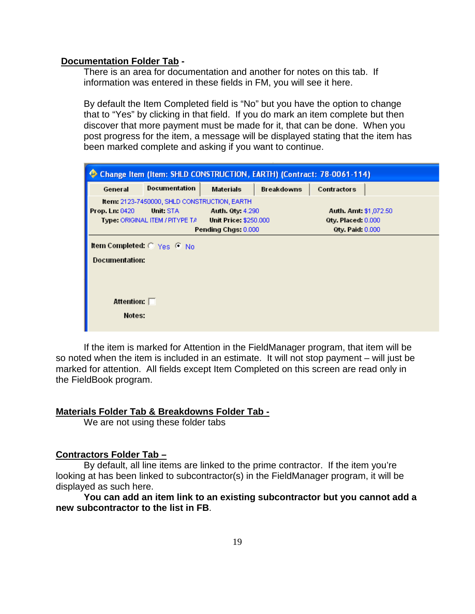#### **Documentation Folder Tab -**

There is an area for documentation and another for notes on this tab. If information was entered in these fields in FM, you will see it here.

By default the Item Completed field is "No" but you have the option to change that to "Yes" by clicking in that field. If you do mark an item complete but then discover that more payment must be made for it, that can be done. When you post progress for the item, a message will be displayed stating that the item has been marked complete and asking if you want to continue.



If the item is marked for Attention in the FieldManager program, that item will be so noted when the item is included in an estimate. It will not stop payment – will just be marked for attention. All fields except Item Completed on this screen are read only in the FieldBook program.

#### **Materials Folder Tab & Breakdowns Folder Tab -**

We are not using these folder tabs

## **Contractors Folder Tab –**

By default, all line items are linked to the prime contractor. If the item you're looking at has been linked to subcontractor(s) in the FieldManager program, it will be displayed as such here.

**You can add an item link to an existing subcontractor but you cannot add a new subcontractor to the list in FB**.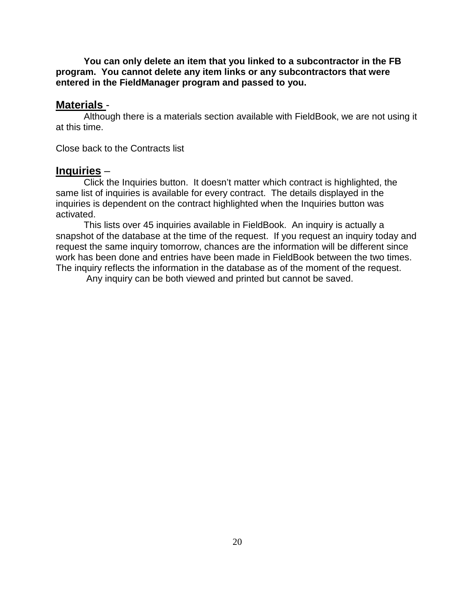**You can only delete an item that you linked to a subcontractor in the FB program. You cannot delete any item links or any subcontractors that were entered in the FieldManager program and passed to you.**

#### **Materials** -

Although there is a materials section available with FieldBook, we are not using it at this time.

Close back to the Contracts list

# **Inquiries** –

Click the Inquiries button. It doesn't matter which contract is highlighted, the same list of inquiries is available for every contract. The details displayed in the inquiries is dependent on the contract highlighted when the Inquiries button was activated.

This lists over 45 inquiries available in FieldBook. An inquiry is actually a snapshot of the database at the time of the request. If you request an inquiry today and request the same inquiry tomorrow, chances are the information will be different since work has been done and entries have been made in FieldBook between the two times. The inquiry reflects the information in the database as of the moment of the request.

Any inquiry can be both viewed and printed but cannot be saved.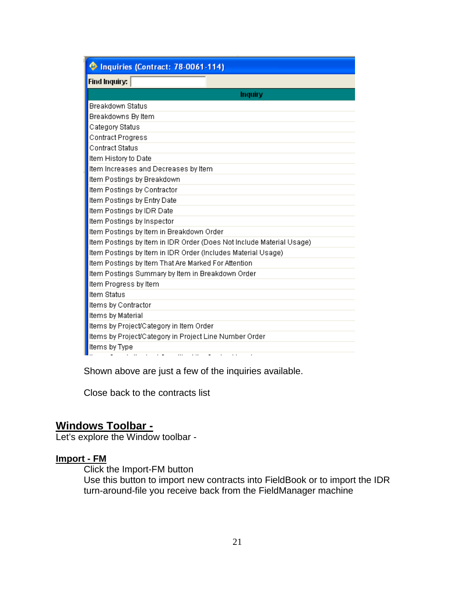| Inquiries (Contract: 78-0061-114)                                                                                  |
|--------------------------------------------------------------------------------------------------------------------|
| <b>Find Inquiry:</b>                                                                                               |
| Inquiry                                                                                                            |
| <b>Breakdown Status</b>                                                                                            |
| Breakdowns By Item                                                                                                 |
| Category Status                                                                                                    |
| Contract Progress                                                                                                  |
| <b>Contract Status</b>                                                                                             |
| Item History to Date                                                                                               |
| Item Increases and Decreases by Item                                                                               |
| Item Postings by Breakdown                                                                                         |
| Item Postings by Contractor                                                                                        |
| Item Postings by Entry Date                                                                                        |
| Item Postings by IDR Date                                                                                          |
| Item Postings by Inspector                                                                                         |
| Item Postings by Item in Breakdown Order                                                                           |
| Item Postings by Item in IDR Order (Does Not Include Material Usage)                                               |
| Item Postings by Item in IDR Order (Includes Material Usage)                                                       |
| Item Postings by Item That Are Marked For Attention                                                                |
| Item Postings Summary by Item in Breakdown Order                                                                   |
| Item Progress by Item                                                                                              |
| Item Status                                                                                                        |
| Items by Contractor                                                                                                |
| Items by Material                                                                                                  |
| Items by Project/Category in Item Order                                                                            |
| Items by Project/Category in Project Line Number Order                                                             |
| Items by Type<br>$\cdots$<br>$\mathcal{A}$ , and $\mathcal{A}$ , and $\mathcal{A}$<br>$\cdot$ $\cdot$<br>$\ddotsc$ |

Shown above are just a few of the inquiries available.

Close back to the contracts list

# **Windows Toolbar -**

Let's explore the Window toolbar -

# **Import - FM**

Click the Import-FM button Use this button to import new contracts into FieldBook or to import the IDR turn-around-file you receive back from the FieldManager machine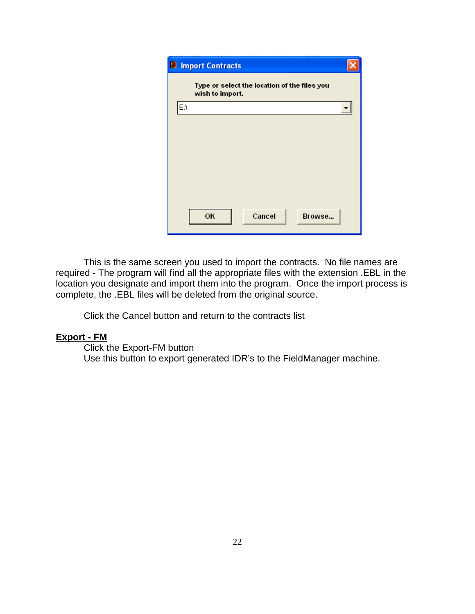

This is the same screen you used to import the contracts. No file names are required - The program will find all the appropriate files with the extension .EBL in the location you designate and import them into the program. Once the import process is complete, the .EBL files will be deleted from the original source.

Click the Cancel button and return to the contracts list

## **Export - FM**

Click the Export-FM button Use this button to export generated IDR's to the FieldManager machine.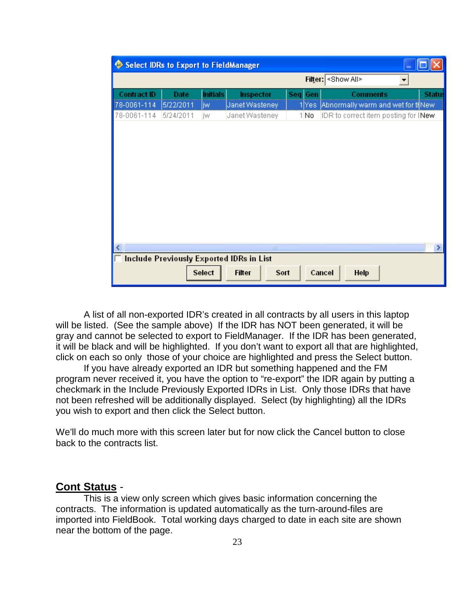|                                   | <b>Select IDRs to Export to FieldManager</b> |                       |                                          |                      |                              |                                                | $\blacksquare$ |       |
|-----------------------------------|----------------------------------------------|-----------------------|------------------------------------------|----------------------|------------------------------|------------------------------------------------|----------------|-------|
|                                   |                                              |                       |                                          |                      | Filter: <show all=""></show> |                                                |                |       |
| <b>Contract ID</b><br>78-0061-114 | Date<br>5/22/2011                            | <b>Initials</b><br>jw | Inspector<br>Janet Wasteney              | Gen<br>Sea.<br>1 Yes |                              | Comments<br>Abnormally warm and wet for ti New |                | Statu |
| 78-0061-114                       | 5/24/2011                                    | jw                    | Janet Wasteney                           | 1N <sub>0</sub>      |                              | IDR to correct item posting for [New           |                |       |
|                                   |                                              |                       | $\mathbf{III}$                           |                      |                              |                                                |                | ٠     |
|                                   |                                              |                       | Include Previously Exported IDRs in List |                      |                              |                                                |                |       |
|                                   |                                              | Select                | <b>Filter</b><br>Sort                    |                      | Cancel                       | Help                                           |                |       |

A list of all non-exported IDR's created in all contracts by all users in this laptop will be listed. (See the sample above) If the IDR has NOT been generated, it will be gray and cannot be selected to export to FieldManager. If the IDR has been generated, it will be black and will be highlighted. If you don't want to export all that are highlighted, click on each so only those of your choice are highlighted and press the Select button.

If you have already exported an IDR but something happened and the FM program never received it, you have the option to "re-export" the IDR again by putting a checkmark in the Include Previously Exported IDRs in List. Only those IDRs that have not been refreshed will be additionally displayed. Select (by highlighting) all the IDRs you wish to export and then click the Select button.

We'll do much more with this screen later but for now click the Cancel button to close back to the contracts list.

# **Cont Status** -

This is a view only screen which gives basic information concerning the contracts. The information is updated automatically as the turn-around-files are imported into FieldBook. Total working days charged to date in each site are shown near the bottom of the page.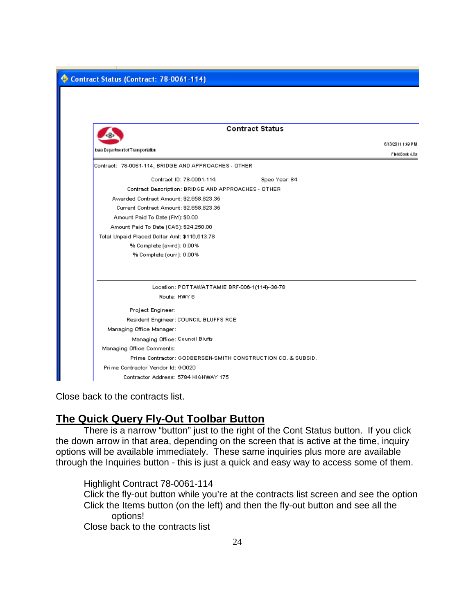

Close back to the contracts list.

# **The Quick Query Fly-Out Toolbar Button**

There is a narrow "button" just to the right of the Cont Status button. If you click the down arrow in that area, depending on the screen that is active at the time, inquiry options will be available immediately. These same inquiries plus more are available through the Inquiries button - this is just a quick and easy way to access some of them.

Highlight Contract 78-0061-114

Click the fly-out button while you're at the contracts list screen and see the option Click the Items button (on the left) and then the fly-out button and see all the options! Close back to the contracts list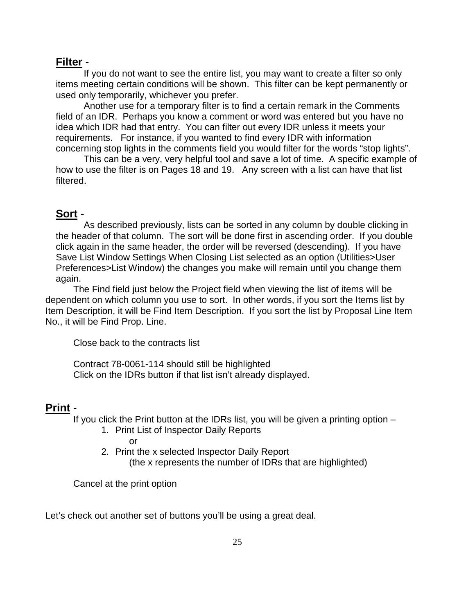# **Filter** -

If you do not want to see the entire list, you may want to create a filter so only items meeting certain conditions will be shown. This filter can be kept permanently or used only temporarily, whichever you prefer.

Another use for a temporary filter is to find a certain remark in the Comments field of an IDR. Perhaps you know a comment or word was entered but you have no idea which IDR had that entry. You can filter out every IDR unless it meets your requirements. For instance, if you wanted to find every IDR with information concerning stop lights in the comments field you would filter for the words "stop lights".

This can be a very, very helpful tool and save a lot of time. A specific example of how to use the filter is on Pages 18 and 19. Any screen with a list can have that list filtered.

# **Sort** -

As described previously, lists can be sorted in any column by double clicking in the header of that column. The sort will be done first in ascending order. If you double click again in the same header, the order will be reversed (descending). If you have Save List Window Settings When Closing List selected as an option (Utilities>User Preferences>List Window) the changes you make will remain until you change them again.

The Find field just below the Project field when viewing the list of items will be dependent on which column you use to sort. In other words, if you sort the Items list by Item Description, it will be Find Item Description. If you sort the list by Proposal Line Item No., it will be Find Prop. Line.

Close back to the contracts list

Contract 78-0061-114 should still be highlighted Click on the IDRs button if that list isn't already displayed.

# **Print** -

If you click the Print button at the IDRs list, you will be given a printing option  $-$ 

1. Print List of Inspector Daily Reports

or

2. Print the x selected Inspector Daily Report (the x represents the number of IDRs that are highlighted)

Cancel at the print option

Let's check out another set of buttons you'll be using a great deal.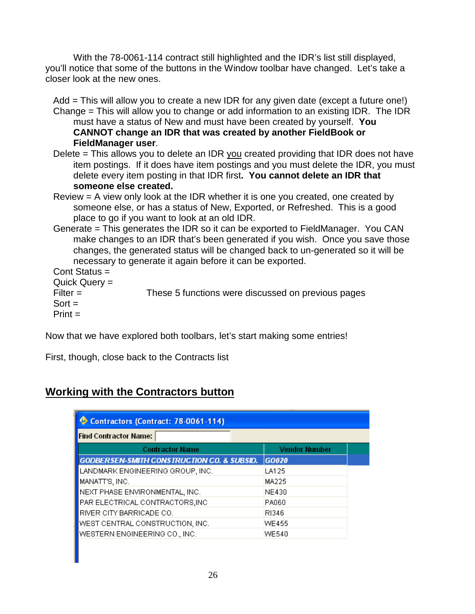With the 78-0061-114 contract still highlighted and the IDR's list still displayed, you'll notice that some of the buttons in the Window toolbar have changed. Let's take a closer look at the new ones.

 Add = This will allow you to create a new IDR for any given date (except a future one!) Change = This will allow you to change or add information to an existing IDR. The IDR must have a status of New and must have been created by yourself. **You CANNOT change an IDR that was created by another FieldBook or FieldManager user**.

- Delete = This allows you to delete an IDR you created providing that IDR does not have item postings. If it does have item postings and you must delete the IDR, you must delete every item posting in that IDR first**. You cannot delete an IDR that someone else created.**
- Review = A view only look at the IDR whether it is one you created, one created by someone else, or has a status of New, Exported, or Refreshed. This is a good place to go if you want to look at an old IDR.
- Generate = This generates the IDR so it can be exported to FieldManager. You CAN make changes to an IDR that's been generated if you wish. Once you save those changes, the generated status will be changed back to un-generated so it will be necessary to generate it again before it can be exported.

 Cont Status = Quick Query =

Filter = These 5 functions were discussed on previous pages

 $Sort =$ 

 $Print =$ 

Now that we have explored both toolbars, let's start making some entries!

First, though, close back to the Contracts list

# **Working with the Contractors button**

| Contractors (Contract: 78-0061-114)                   |                      |
|-------------------------------------------------------|----------------------|
| <b>Find Contractor Name:</b>                          |                      |
| <b>Contractor Name</b>                                | <b>Vendor Number</b> |
| <b>GODBERSEN-SMITH CONSTRUCTION CO. &amp; SUBSID.</b> | GO020                |
| LANDMARK ENGINEERING GROUP, INC.                      | LA125                |
| MANATT'S, INC.                                        | MA225                |
| NEXT PHASE ENVIRONMENTAL, INC.                        | NE430                |
| PAR ELECTRICAL CONTRACTORS, INC                       | PA060                |
| RIVER CITY BARRICADE CO.                              | RI346                |
| WEST CENTRAL CONSTRUCTION, INC.                       | WE455                |
| WESTERN ENGINEERING CO., INC.                         | WE540                |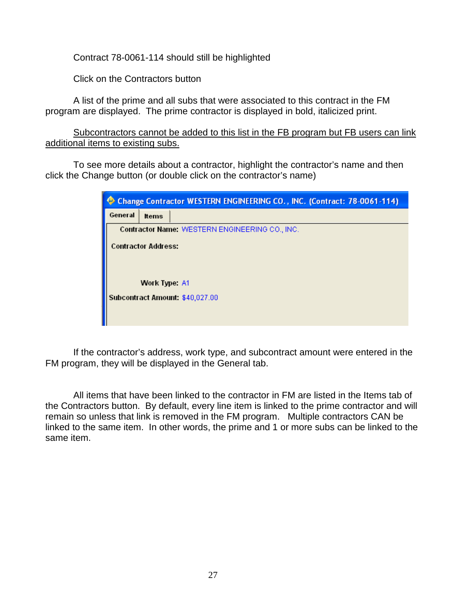Contract 78-0061-114 should still be highlighted

Click on the Contractors button

A list of the prime and all subs that were associated to this contract in the FM program are displayed. The prime contractor is displayed in bold, italicized print.

Subcontractors cannot be added to this list in the FB program but FB users can link additional items to existing subs.

To see more details about a contractor, highlight the contractor's name and then click the Change button (or double click on the contractor's name)

|         |                            | Change Contractor WESTERN ENGINEERING CO., INC. (Contract: 78-0061-114) |
|---------|----------------------------|-------------------------------------------------------------------------|
| General | <b>Items</b>               |                                                                         |
|         |                            | Contractor Name: WESTERN ENGINEERING CO., INC.                          |
|         | <b>Contractor Address:</b> |                                                                         |
|         |                            |                                                                         |
|         |                            |                                                                         |
|         | Work Type A1               |                                                                         |
|         |                            | Subcontract Amount: \$40,027.00                                         |
|         |                            |                                                                         |
|         |                            |                                                                         |

If the contractor's address, work type, and subcontract amount were entered in the FM program, they will be displayed in the General tab.

All items that have been linked to the contractor in FM are listed in the Items tab of the Contractors button. By default, every line item is linked to the prime contractor and will remain so unless that link is removed in the FM program. Multiple contractors CAN be linked to the same item. In other words, the prime and 1 or more subs can be linked to the same item.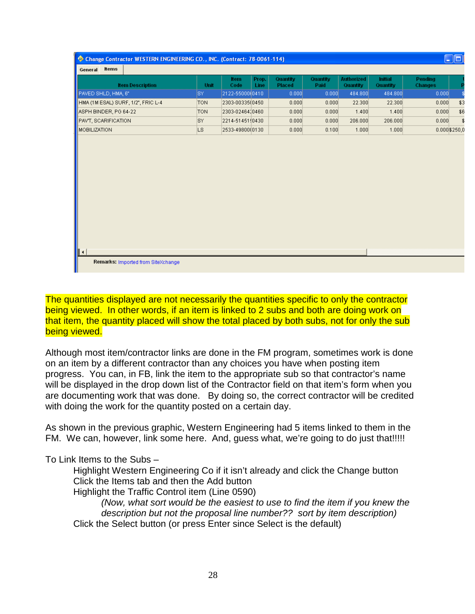| <b>Item Description</b>            | Unit       | <b>Item</b><br>Code | Prop.<br>Line | Quantity<br><b>Placed</b> | Quantity<br>Paid | <b>Authorized</b><br>Quantity | Initial<br>Quantity | Pending<br><b>Changes</b> |     |
|------------------------------------|------------|---------------------|---------------|---------------------------|------------------|-------------------------------|---------------------|---------------------------|-----|
| PAVED SHLD, HMA, 6"                | SY         | 2122-55000(0410     |               | 0.000                     | 0.000            | 484.800                       | 484.800             | 0.000                     |     |
| HMA (1M ESAL) SURF, 1/2", FRIC L-4 | <b>TON</b> | 2303-00335(0450     |               | 0.000                     | 0.000            | 22.300                        | 22.300              | 0.000                     | \$3 |
| ASPH BINDER, PG 64-22              | <b>TON</b> | 2303-0246410460     |               | 0.000                     | 0.000            | 1.400                         | 1.400               | 0.000                     | \$6 |
| <b>PAVT, SCARIFICATION</b>         | <b>SY</b>  | 2214-5145110430     |               | 0.000                     | 0.000            | 206.000                       | 206.000             | 0.000                     | \$  |
| MOBILIZATION                       | LS.        | 2533-49800(0130     |               | 0.000                     | 0.100            | 1.000                         | 1.000               | $0.000$ \$250,0           |     |
|                                    |            |                     |               |                           |                  |                               |                     |                           |     |

The quantities displayed are not necessarily the quantities specific to only the contractor being viewed. In other words, if an item is linked to 2 subs and both are doing work on that item, the quantity placed will show the total placed by both subs, not for only the sub being viewed.

Although most item/contractor links are done in the FM program, sometimes work is done on an item by a different contractor than any choices you have when posting item progress. You can, in FB, link the item to the appropriate sub so that contractor's name will be displayed in the drop down list of the Contractor field on that item's form when you are documenting work that was done. By doing so, the correct contractor will be credited with doing the work for the quantity posted on a certain day.

As shown in the previous graphic, Western Engineering had 5 items linked to them in the FM. We can, however, link some here. And, guess what, we're going to do just that!!!!!

To Link Items to the Subs –

Highlight Western Engineering Co if it isn't already and click the Change button Click the Items tab and then the Add button Highlight the Traffic Control item (Line 0590)

*(Now, what sort would be the easiest to use to find the item if you knew the description but not the proposal line number?? sort by item description)* Click the Select button (or press Enter since Select is the default)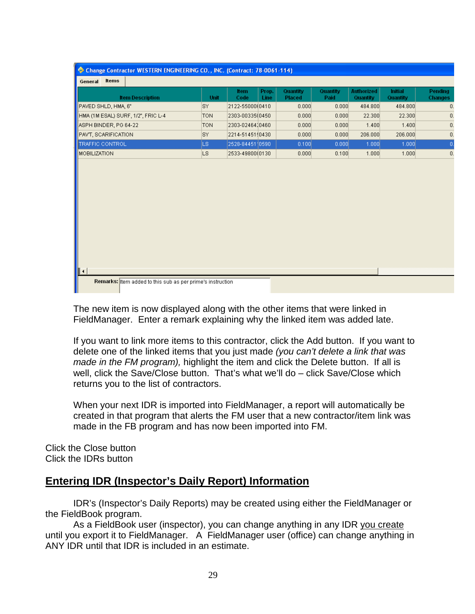| Change Contractor WESTERN ENGINEERING CO., INC. (Contract: 78-0061-114) |            |                     |               |                           |                  |                        |                            |                                  |  |
|-------------------------------------------------------------------------|------------|---------------------|---------------|---------------------------|------------------|------------------------|----------------------------|----------------------------------|--|
| Items<br>General                                                        |            |                     |               |                           |                  |                        |                            |                                  |  |
| <b>Item Description</b>                                                 | Unit       | <b>Item</b><br>Code | Prop.<br>Line | Quantity<br><b>Placed</b> | Quantity<br>Paid | Authorized<br>Quantity | <b>Initial</b><br>Quantity | <b>Pending</b><br><b>Changes</b> |  |
| PAVED SHLD, HMA, 6"                                                     | lsy        | 2122-5500000410     |               | 0.000                     | 0.000            | 484.800                | 484.800                    | 0.                               |  |
| HMA (1M ESAL) SURF, 1/2", FRIC L-4                                      | <b>TON</b> | 2303-00335(0450     |               | 0.000                     | 0.000            | 22.300                 | 22.300                     | 0.                               |  |
| ASPH BINDER, PG 64-22                                                   | <b>TON</b> | 2303-0246410460     |               | 0.000                     | 0.000            | 1.400                  | 1.400                      | 0.                               |  |
| PAVT, SCARIFICATION                                                     | SY         | 2214-5145110430     |               | 0.000                     | 0.000            | 206.000                | 206,000                    | 0.                               |  |
| TRAFFIC CONTROL                                                         | LS.        | 2528-8445110590     |               | 0.100                     | 0.000            | 1.000                  | 1,000                      | 0.                               |  |
| MOBILIZATION                                                            | LS.        | 2533-49800(0130     |               | 0.000                     | 0.100            | 1.000                  | 1.000                      | 0.                               |  |
| ▋┥▏                                                                     |            |                     |               |                           |                  |                        |                            |                                  |  |
| <b>Remarks:</b> Item added to this sub as per prime's instruction       |            |                     |               |                           |                  |                        |                            |                                  |  |

The new item is now displayed along with the other items that were linked in FieldManager. Enter a remark explaining why the linked item was added late.

If you want to link more items to this contractor, click the Add button. If you want to delete one of the linked items that you just made *(you can't delete a link that was made in the FM program),* highlight the item and click the Delete button. If all is well, click the Save/Close button. That's what we'll do – click Save/Close which returns you to the list of contractors.

When your next IDR is imported into FieldManager, a report will automatically be created in that program that alerts the FM user that a new contractor/item link was made in the FB program and has now been imported into FM.

Click the Close button Click the IDRs button

# **Entering IDR (Inspector's Daily Report) Information**

IDR's (Inspector's Daily Reports) may be created using either the FieldManager or the FieldBook program.

As a FieldBook user (inspector), you can change anything in any IDR you create until you export it to FieldManager. A FieldManager user (office) can change anything in ANY IDR until that IDR is included in an estimate.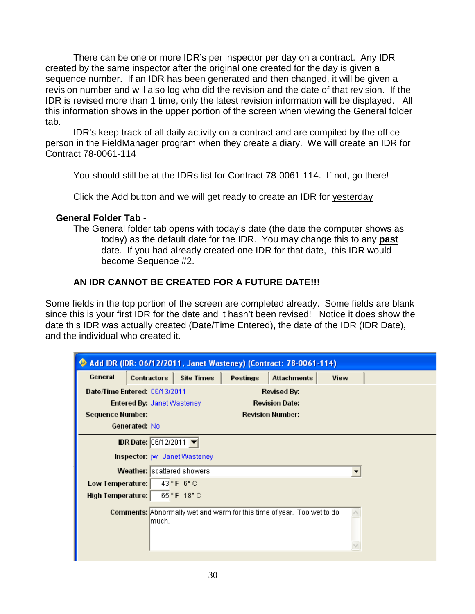There can be one or more IDR's per inspector per day on a contract. Any IDR created by the same inspector after the original one created for the day is given a sequence number. If an IDR has been generated and then changed, it will be given a revision number and will also log who did the revision and the date of that revision. If the IDR is revised more than 1 time, only the latest revision information will be displayed. All this information shows in the upper portion of the screen when viewing the General folder tab.

IDR's keep track of all daily activity on a contract and are compiled by the office person in the FieldManager program when they create a diary. We will create an IDR for Contract 78-0061-114

You should still be at the IDRs list for Contract 78-0061-114. If not, go there!

Click the Add button and we will get ready to create an IDR for yesterday

# **General Folder Tab -**

The General folder tab opens with today's date (the date the computer shows as today) as the default date for the IDR. You may change this to any **past** date. If you had already created one IDR for that date, this IDR would become Sequence #2.

# **AN IDR CANNOT BE CREATED FOR A FUTURE DATE!!!**

Some fields in the top portion of the screen are completed already. Some fields are blank since this is your first IDR for the date and it hasn't been revised! Notice it does show the date this IDR was actually created (Date/Time Entered), the date of the IDR (IDR Date), and the individual who created it.

| Add IDR (IDR: 06/12/2011, Janet Wasteney) (Contract: 78-0061-114) |                                     |                               |          |                                                                               |      |  |  |  |
|-------------------------------------------------------------------|-------------------------------------|-------------------------------|----------|-------------------------------------------------------------------------------|------|--|--|--|
| General                                                           | Contractors                         | <b>Site Times</b>             | Postings | <b>Attachments</b>                                                            | View |  |  |  |
|                                                                   | Date/Time Entered: 06/13/2011       |                               |          | Revised By:                                                                   |      |  |  |  |
| <b>Revision Date:</b><br><b>Entered By: Janet Wasteney</b>        |                                     |                               |          |                                                                               |      |  |  |  |
| <b>Sequence Number:</b><br><b>Revision Number:</b>                |                                     |                               |          |                                                                               |      |  |  |  |
| Generated: No                                                     |                                     |                               |          |                                                                               |      |  |  |  |
|                                                                   | IDR Date: 06/12/2011 ▼              |                               |          |                                                                               |      |  |  |  |
|                                                                   | <b>Inspector:</b> jw Janet Wasteney |                               |          |                                                                               |      |  |  |  |
|                                                                   | Weather: scattered showers          |                               |          |                                                                               |      |  |  |  |
| Low Temperature:                                                  |                                     | $43^{\circ}$ F 6 $^{\circ}$ C |          |                                                                               |      |  |  |  |
| 65°F 18°C<br>High Temperature:                                    |                                     |                               |          |                                                                               |      |  |  |  |
|                                                                   | lmuch.                              |                               |          | <b>Comments:</b> Abnormally wet and warm for this time of year. Too wet to do |      |  |  |  |
|                                                                   |                                     |                               |          |                                                                               |      |  |  |  |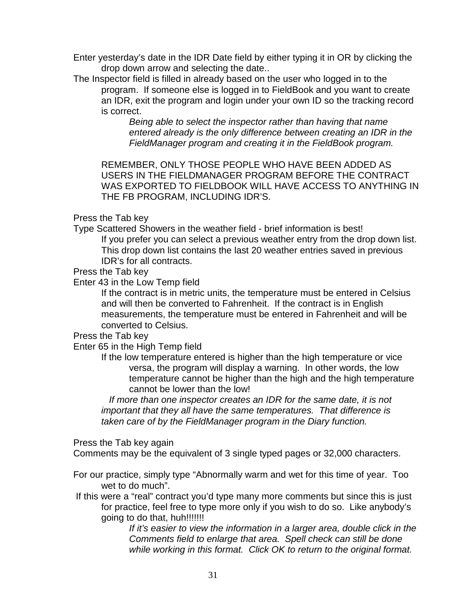Enter yesterday's date in the IDR Date field by either typing it in OR by clicking the drop down arrow and selecting the date..

The Inspector field is filled in already based on the user who logged in to the program. If someone else is logged in to FieldBook and you want to create an IDR, exit the program and login under your own ID so the tracking record is correct.

*Being able to select the inspector rather than having that name entered already is the only difference between creating an IDR in the FieldManager program and creating it in the FieldBook program.* 

REMEMBER, ONLY THOSE PEOPLE WHO HAVE BEEN ADDED AS USERS IN THE FIELDMANAGER PROGRAM BEFORE THE CONTRACT WAS EXPORTED TO FIELDBOOK WILL HAVE ACCESS TO ANYTHING IN THE FB PROGRAM, INCLUDING IDR'S.

# Press the Tab key

Type Scattered Showers in the weather field - brief information is best! If you prefer you can select a previous weather entry from the drop down list. This drop down list contains the last 20 weather entries saved in previous IDR's for all contracts.

Press the Tab key

Enter 43 in the Low Temp field

If the contract is in metric units, the temperature must be entered in Celsius and will then be converted to Fahrenheit. If the contract is in English measurements, the temperature must be entered in Fahrenheit and will be converted to Celsius.

Press the Tab key

Enter 65 in the High Temp field

If the low temperature entered is higher than the high temperature or vice versa, the program will display a warning. In other words, the low temperature cannot be higher than the high and the high temperature cannot be lower than the low!

 *If more than one inspector creates an IDR for the same date, it is not important that they all have the same temperatures. That difference is taken care of by the FieldManager program in the Diary function.*

# Press the Tab key again

Comments may be the equivalent of 3 single typed pages or 32,000 characters.

- For our practice, simply type "Abnormally warm and wet for this time of year. Too wet to do much".
- If this were a "real" contract you'd type many more comments but since this is just for practice, feel free to type more only if you wish to do so. Like anybody's going to do that, huh!!!!!!!!

*If it's easier to view the information in a larger area, double click in the Comments field to enlarge that area. Spell check can still be done while working in this format. Click OK to return to the original format.*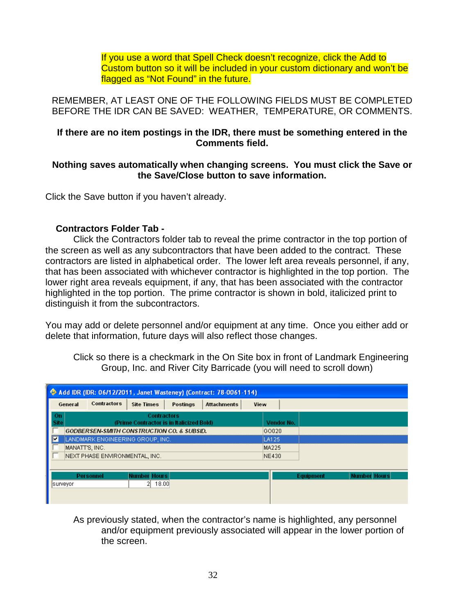If you use a word that Spell Check doesn't recognize, click the Add to Custom button so it will be included in your custom dictionary and won't be flagged as "Not Found" in the future.

REMEMBER, AT LEAST ONE OF THE FOLLOWING FIELDS MUST BE COMPLETED BEFORE THE IDR CAN BE SAVED: WEATHER, TEMPERATURE, OR COMMENTS.

# **If there are no item postings in the IDR, there must be something entered in the Comments field.**

# **Nothing saves automatically when changing screens. You must click the Save or the Save/Close button to save information.**

Click the Save button if you haven't already.

# **Contractors Folder Tab -**

Click the Contractors folder tab to reveal the prime contractor in the top portion of the screen as well as any subcontractors that have been added to the contract. These contractors are listed in alphabetical order. The lower left area reveals personnel, if any, that has been associated with whichever contractor is highlighted in the top portion. The lower right area reveals equipment, if any, that has been associated with the contractor highlighted in the top portion. The prime contractor is shown in bold, italicized print to distinguish it from the subcontractors.

You may add or delete personnel and/or equipment at any time. Once you either add or delete that information, future days will also reflect those changes.

Click so there is a checkmark in the On Site box in front of Landmark Engineering Group, Inc. and River City Barricade (you will need to scroll down)

| Add IDR (IDR: 06/12/2011, Janet Wasteney) (Contract: 78-0061-114)                            |                |                  |                                                                |  |       |  |            |           |                     |
|----------------------------------------------------------------------------------------------|----------------|------------------|----------------------------------------------------------------|--|-------|--|------------|-----------|---------------------|
| Contractors<br><b>Site Times</b><br><b>Postings</b><br><b>Attachments</b><br>View<br>General |                |                  |                                                                |  |       |  |            |           |                     |
| On.<br><b>Site</b>                                                                           |                |                  | <b>Contractors</b><br>(Prime Contractor is in Italicized Bold) |  |       |  | Vendor No. |           |                     |
|                                                                                              |                |                  | <b>GODBERSEN-SMITH CONSTRUCTION CO. &amp; SUBSID.</b>          |  |       |  | GO020      |           |                     |
| F                                                                                            |                |                  | LANDMARK ENGINEERING GROUP, INC.                               |  |       |  | LA125      |           |                     |
|                                                                                              | MANATT'S, INC. |                  |                                                                |  |       |  | MA225      |           |                     |
| NEXT PHASE ENVIRONMENTAL, INC.                                                               |                |                  |                                                                |  | NE430 |  |            |           |                     |
|                                                                                              |                |                  |                                                                |  |       |  |            |           |                     |
|                                                                                              |                | <b>Personnel</b> | <b>Number Hours</b>                                            |  |       |  |            | Equipment | <b>Number Hours</b> |
|                                                                                              | surveyor       |                  | 18.00<br>21.                                                   |  |       |  |            |           |                     |
|                                                                                              |                |                  |                                                                |  |       |  |            |           |                     |

As previously stated, when the contractor's name is highlighted, any personnel and/or equipment previously associated will appear in the lower portion of the screen.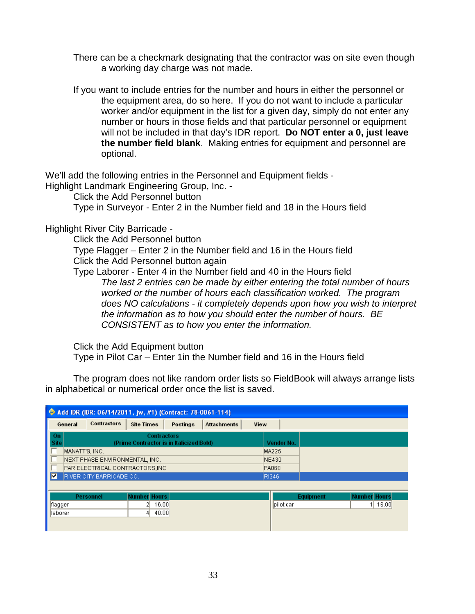- There can be a checkmark designating that the contractor was on site even though a working day charge was not made.
- If you want to include entries for the number and hours in either the personnel or the equipment area, do so here. If you do not want to include a particular worker and/or equipment in the list for a given day, simply do not enter any number or hours in those fields and that particular personnel or equipment will not be included in that day's IDR report. **Do NOT enter a 0, just leave the number field blank**. Making entries for equipment and personnel are optional.

We'll add the following entries in the Personnel and Equipment fields -

Highlight Landmark Engineering Group, Inc. -

Click the Add Personnel button

Type in Surveyor - Enter 2 in the Number field and 18 in the Hours field

Highlight River City Barricade -

Click the Add Personnel button

Type Flagger – Enter 2 in the Number field and 16 in the Hours field Click the Add Personnel button again

Type Laborer - Enter 4 in the Number field and 40 in the Hours field *The last 2 entries can be made by either entering the total number of hours worked or the number of hours each classification worked. The program does NO calculations - it completely depends upon how you wish to interpret the information as to how you should enter the number of hours. BE CONSISTENT as to how you enter the information.*

Click the Add Equipment button

Type in Pilot Car – Enter 1in the Number field and 16 in the Hours field

The program does not like random order lists so FieldBook will always arrange lists in alphabetical or numerical order once the list is saved.

|                |                                |                                                                | Add IDR (IDR: 06/14/2011, jw, #1) (Contract: 78-0061-114) |      |            |           |                     |
|----------------|--------------------------------|----------------------------------------------------------------|-----------------------------------------------------------|------|------------|-----------|---------------------|
| General        | <b>Contractors</b>             | <b>Site Times</b>                                              | Postings<br><b>Attachments</b>                            | View |            |           |                     |
| On<br>Site     |                                | <b>Contractors</b><br>(Prime Contractor is in Italicized Bold) |                                                           |      | Vendor No. |           |                     |
| MANATT'S, INC. |                                |                                                                |                                                           |      | MA225      |           |                     |
|                | NEXT PHASE ENVIRONMENTAL, INC. |                                                                |                                                           |      | NE430      |           |                     |
|                | PAR ELECTRICAL CONTRACTORS,INC |                                                                |                                                           |      | PA060      |           |                     |
| Π⊽             | RIVER CITY BARRICADE CO.       |                                                                |                                                           |      | RI346      |           |                     |
|                |                                |                                                                |                                                           |      |            |           |                     |
|                | <b>Personnel</b>               | <b>Number Hours</b>                                            |                                                           |      |            | Equipment | <b>Number Hours</b> |
| flagger        |                                | 16.00<br>21                                                    |                                                           |      | pilot car  |           | $1$ 16.00           |
| laborer        |                                | 40.00<br>41                                                    |                                                           |      |            |           |                     |
|                |                                |                                                                |                                                           |      |            |           |                     |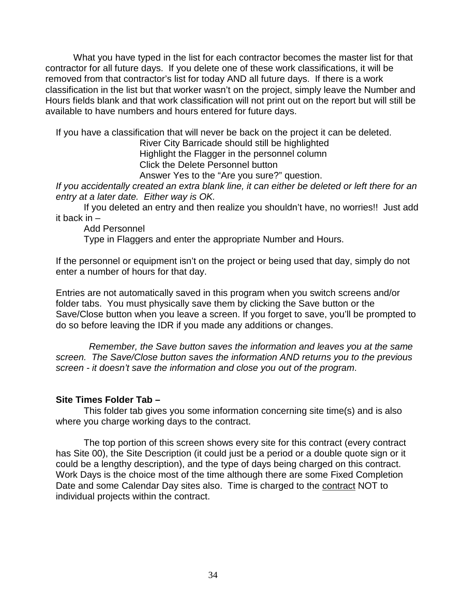What you have typed in the list for each contractor becomes the master list for that contractor for all future days. If you delete one of these work classifications, it will be removed from that contractor's list for today AND all future days. If there is a work classification in the list but that worker wasn't on the project, simply leave the Number and Hours fields blank and that work classification will not print out on the report but will still be available to have numbers and hours entered for future days.

If you have a classification that will never be back on the project it can be deleted.

River City Barricade should still be highlighted Highlight the Flagger in the personnel column Click the Delete Personnel button

Answer Yes to the "Are you sure?" question.

*If you accidentally created an extra blank line, it can either be deleted or left there for an entry at a later date. Either way is OK.*

If you deleted an entry and then realize you shouldn't have, no worries!! Just add it back in –

Add Personnel

Type in Flaggers and enter the appropriate Number and Hours.

If the personnel or equipment isn't on the project or being used that day, simply do not enter a number of hours for that day.

Entries are not automatically saved in this program when you switch screens and/or folder tabs. You must physically save them by clicking the Save button or the Save/Close button when you leave a screen. If you forget to save, you'll be prompted to do so before leaving the IDR if you made any additions or changes.

 *Remember, the Save button saves the information and leaves you at the same screen. The Save/Close button saves the information AND returns you to the previous screen - it doesn't save the information and close you out of the program*.

### **Site Times Folder Tab –**

This folder tab gives you some information concerning site time(s) and is also where you charge working days to the contract.

The top portion of this screen shows every site for this contract (every contract has Site 00), the Site Description (it could just be a period or a double quote sign or it could be a lengthy description), and the type of days being charged on this contract. Work Days is the choice most of the time although there are some Fixed Completion Date and some Calendar Day sites also. Time is charged to the contract NOT to individual projects within the contract.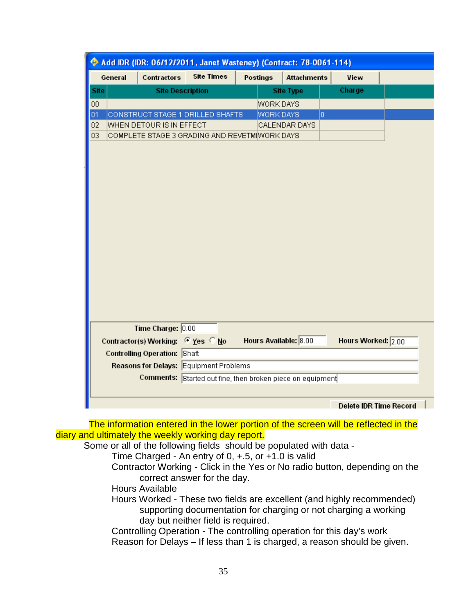|         |                                               | Add IDR (IDR: 06/12/2011, Janet Wasteney) (Contract: 78-0061-114) |                       |                    |                    |  |
|---------|-----------------------------------------------|-------------------------------------------------------------------|-----------------------|--------------------|--------------------|--|
| General | Contractors                                   | <b>Site Times</b>                                                 | Postings              | <b>Attachments</b> | View               |  |
| Site    | <b>Site Description</b>                       |                                                                   |                       | <b>Site Type</b>   | Charge             |  |
| 00      |                                               |                                                                   | WORK DAYS             |                    |                    |  |
| 01      | CONSTRUCT STAGE 1 DRILLED SHAFTS              |                                                                   | WORK DAYS             | lo.                |                    |  |
| 02      | WHEN DETOUR IS IN EFFECT                      |                                                                   |                       | CALENDAR DAYS      |                    |  |
| 03      | COMPLETE STAGE 3 GRADING AND REVETM(WORK DAYS |                                                                   |                       |                    |                    |  |
|         |                                               |                                                                   |                       |                    |                    |  |
|         |                                               |                                                                   |                       |                    |                    |  |
|         |                                               |                                                                   |                       |                    |                    |  |
|         |                                               |                                                                   |                       |                    |                    |  |
|         |                                               |                                                                   |                       |                    |                    |  |
|         |                                               |                                                                   |                       |                    |                    |  |
|         |                                               |                                                                   |                       |                    |                    |  |
|         |                                               |                                                                   |                       |                    |                    |  |
|         |                                               |                                                                   |                       |                    |                    |  |
|         |                                               |                                                                   |                       |                    |                    |  |
|         |                                               |                                                                   |                       |                    |                    |  |
|         |                                               |                                                                   |                       |                    |                    |  |
|         |                                               |                                                                   |                       |                    |                    |  |
|         |                                               |                                                                   |                       |                    |                    |  |
|         |                                               |                                                                   |                       |                    |                    |  |
|         |                                               |                                                                   |                       |                    |                    |  |
|         |                                               |                                                                   |                       |                    |                    |  |
|         |                                               |                                                                   |                       |                    |                    |  |
|         |                                               |                                                                   |                       |                    |                    |  |
|         |                                               |                                                                   |                       |                    |                    |  |
|         |                                               |                                                                   |                       |                    |                    |  |
|         | Time Charge: 0.00                             |                                                                   |                       |                    |                    |  |
|         | Contractor(s) Working: C Yes C No             |                                                                   | Hours Available: 8.00 |                    | Hours Worked: 2.00 |  |
|         | Controlling Operation: Shaft                  |                                                                   |                       |                    |                    |  |
|         | Reasons for Delays: Equipment Problems        |                                                                   |                       |                    |                    |  |
|         |                                               |                                                                   |                       |                    |                    |  |
|         |                                               | Comments: Started out fine, then broken piece on equipment        |                       |                    |                    |  |
|         |                                               |                                                                   |                       |                    |                    |  |

 The information entered in the lower portion of the screen will be reflected in the diary and ultimately the weekly working day report.

Some or all of the following fields should be populated with data -

Time Charged - An entry of 0, +.5, or +1.0 is valid

Contractor Working - Click in the Yes or No radio button, depending on the correct answer for the day.

- Hours Available
- Hours Worked These two fields are excellent (and highly recommended) supporting documentation for charging or not charging a working day but neither field is required.

Controlling Operation - The controlling operation for this day's work Reason for Delays – If less than 1 is charged, a reason should be given.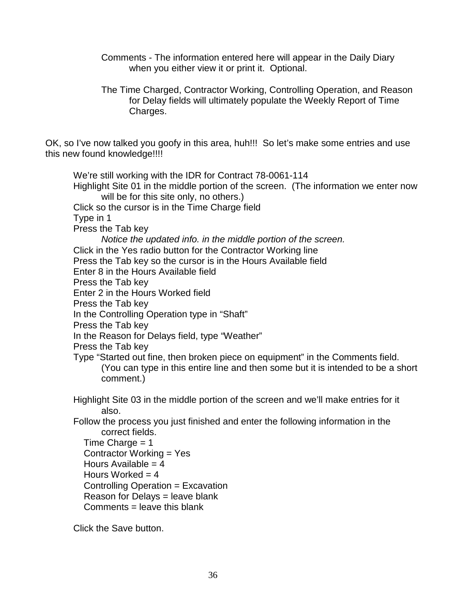- Comments The information entered here will appear in the Daily Diary when you either view it or print it. Optional.
- The Time Charged, Contractor Working, Controlling Operation, and Reason for Delay fields will ultimately populate the Weekly Report of Time Charges.

OK, so I've now talked you goofy in this area, huh!!! So let's make some entries and use this new found knowledge!!!!

We're still working with the IDR for Contract 78-0061-114 Highlight Site 01 in the middle portion of the screen. (The information we enter now will be for this site only, no others.) Click so the cursor is in the Time Charge field Type in 1 Press the Tab key *Notice the updated info. in the middle portion of the screen.*  Click in the Yes radio button for the Contractor Working line Press the Tab key so the cursor is in the Hours Available field Enter 8 in the Hours Available field Press the Tab key Enter 2 in the Hours Worked field Press the Tab key In the Controlling Operation type in "Shaft" Press the Tab key In the Reason for Delays field, type "Weather" Press the Tab key Type "Started out fine, then broken piece on equipment" in the Comments field. (You can type in this entire line and then some but it is intended to be a short comment.) Highlight Site 03 in the middle portion of the screen and we'll make entries for it also. Follow the process you just finished and enter the following information in the correct fields. Time Charge  $= 1$  Contractor Working = Yes Hours Available  $= 4$ Hours Worked  $= 4$  Controlling Operation = Excavation Reason for Delays = leave blank  $Comments = leave this blank$ 

Click the Save button.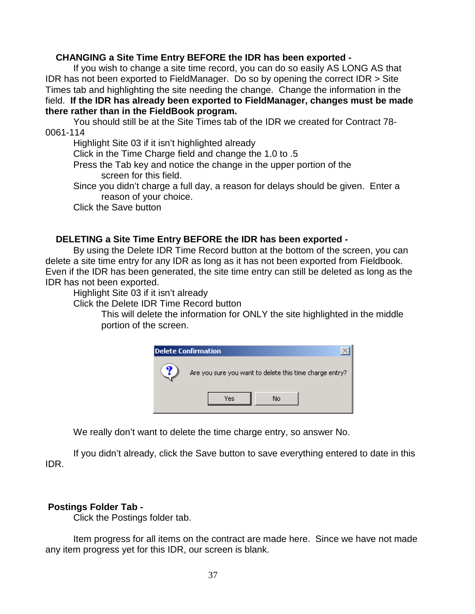## **CHANGING a Site Time Entry BEFORE the IDR has been exported -**

If you wish to change a site time record, you can do so easily AS LONG AS that IDR has not been exported to FieldManager. Do so by opening the correct IDR > Site Times tab and highlighting the site needing the change. Change the information in the field. **If the IDR has already been exported to FieldManager, changes must be made there rather than in the FieldBook program.**

You should still be at the Site Times tab of the IDR we created for Contract 78- 0061-114

Highlight Site 03 if it isn't highlighted already

Click in the Time Charge field and change the 1.0 to .5

Press the Tab key and notice the change in the upper portion of the screen for this field.

Since you didn't charge a full day, a reason for delays should be given. Enter a reason of your choice.

Click the Save button

## **DELETING a Site Time Entry BEFORE the IDR has been exported -**

By using the Delete IDR Time Record button at the bottom of the screen, you can delete a site time entry for any IDR as long as it has not been exported from Fieldbook. Even if the IDR has been generated, the site time entry can still be deleted as long as the IDR has not been exported.

Highlight Site 03 if it isn't already

Click the Delete IDR Time Record button

This will delete the information for ONLY the site highlighted in the middle portion of the screen.



We really don't want to delete the time charge entry, so answer No.

If you didn't already, click the Save button to save everything entered to date in this IDR.

## **Postings Folder Tab -**

Click the Postings folder tab.

Item progress for all items on the contract are made here. Since we have not made any item progress yet for this IDR, our screen is blank.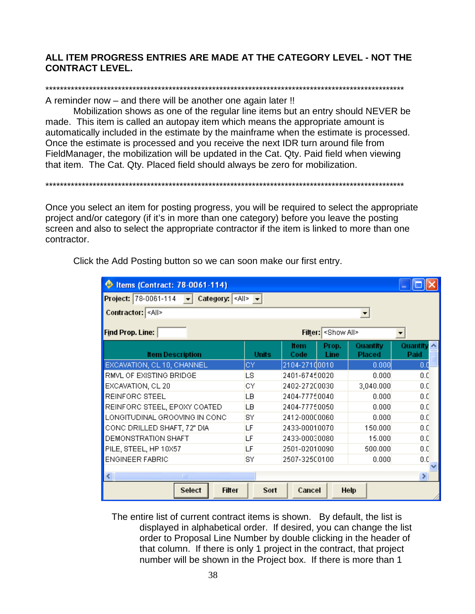## **ALL ITEM PROGRESS ENTRIES ARE MADE AT THE CATEGORY LEVEL - NOT THE CONTRACT LEVEL.**

# \*\*\*\*\*\*\*\*\*\*\*\*\*\*\*\*\*\*\*\*\*\*\*\*\*\*\*\*\*\*\*\*\*\*\*\*\*\*\*\*\*\*\*\*\*\*\*\*\*\*\*\*\*\*\*\*\*\*\*\*\*\*\*\*\*\*\*\*\*\*\*\*\*\*\*\*\*\*\*\*\*\*\*\*\*\*\*\*\*\*\*\*\*\*\*\*\*\*\*

A reminder now – and there will be another one again later !!

Mobilization shows as one of the regular line items but an entry should NEVER be made. This item is called an autopay item which means the appropriate amount is automatically included in the estimate by the mainframe when the estimate is processed. Once the estimate is processed and you receive the next IDR turn around file from FieldManager, the mobilization will be updated in the Cat. Qty. Paid field when viewing that item. The Cat. Qty. Placed field should always be zero for mobilization.

Once you select an item for posting progress, you will be required to select the appropriate project and/or category (if it's in more than one category) before you leave the posting screen and also to select the appropriate contractor if the item is linked to more than one contractor.

\*\*\*\*\*\*\*\*\*\*\*\*\*\*\*\*\*\*\*\*\*\*\*\*\*\*\*\*\*\*\*\*\*\*\*\*\*\*\*\*\*\*\*\*\*\*\*\*\*\*\*\*\*\*\*\*\*\*\*\*\*\*\*\*\*\*\*\*\*\*\*\*\*\*\*\*\*\*\*\*\*\*\*\*\*\*\*\*\*\*\*\*\*\*\*\*\*\*\*

| Items (Contract: 78-0061-114)                                                     |              |                     |                   |                           |                  |  |  |  |  |  |  |
|-----------------------------------------------------------------------------------|--------------|---------------------|-------------------|---------------------------|------------------|--|--|--|--|--|--|
| Project: 78-0061-114 $\rightarrow$ Category: <all> <math>\rightarrow</math></all> |              |                     |                   |                           |                  |  |  |  |  |  |  |
| Contractor: <all></all>                                                           |              |                     |                   |                           |                  |  |  |  |  |  |  |
| Find Prop. Line:                                                                  |              |                     | Filter: Show All> |                           |                  |  |  |  |  |  |  |
| <b>Item Description</b>                                                           | <b>Units</b> | <b>Item</b><br>Code | Prop.<br>Line     | Quantity<br><b>Placed</b> | Quantity<br>Paid |  |  |  |  |  |  |
| EXCAVATION, CL 10, CHANNEL                                                        | CY.          | 2104-27100010       |                   | 0.000                     | 0.0              |  |  |  |  |  |  |
| RMVL OF EXISTING BRIDGE                                                           | LS.          | 2401-67450020       |                   | 0.000                     | 0.0              |  |  |  |  |  |  |
| EXCAVATION, CL 20                                                                 | СY           | 2402-27200030       |                   | 3,040.000                 | 0.0              |  |  |  |  |  |  |
| REINFORC STEEL                                                                    | LВ           | 2404-77750040       |                   | 0.000                     | 0.0              |  |  |  |  |  |  |
| REINFORC STEEL, EPOXY COATED                                                      | LВ           | 2404-77750050       |                   | 0.000                     | 0.0              |  |  |  |  |  |  |
| LONGITUDINAL GROOVING IN CONC                                                     | SY           | 2412-00000060       |                   | 0.000                     | 0.0              |  |  |  |  |  |  |
| CONCIDRILLED SHAFT, 72" DIA                                                       | LF           | 2433-00010070       |                   | 150.000                   | 0.0              |  |  |  |  |  |  |
| DEMONSTRATION SHAFT                                                               | LF           | 2433-00030080       |                   | 15,000                    | 0.0              |  |  |  |  |  |  |
| PILE, STEEL, HP 10X57                                                             | LF           | 2501-02010090       |                   | 500.000                   | 0.0              |  |  |  |  |  |  |
| <b>ENGINEER FABRIC</b>                                                            | SY           | 2507-32500100       |                   | 0.000                     | 0.0              |  |  |  |  |  |  |
|                                                                                   |              |                     |                   |                           |                  |  |  |  |  |  |  |
| ∢<br>$\mathbf{III}$                                                               |              |                     |                   |                           | ⊁                |  |  |  |  |  |  |
| Select<br><b>Filter</b>                                                           | Sort         | Cancel              |                   | Help                      |                  |  |  |  |  |  |  |

Click the Add Posting button so we can soon make our first entry.

The entire list of current contract items is shown. By default, the list is displayed in alphabetical order. If desired, you can change the list order to Proposal Line Number by double clicking in the header of that column. If there is only 1 project in the contract, that project number will be shown in the Project box. If there is more than 1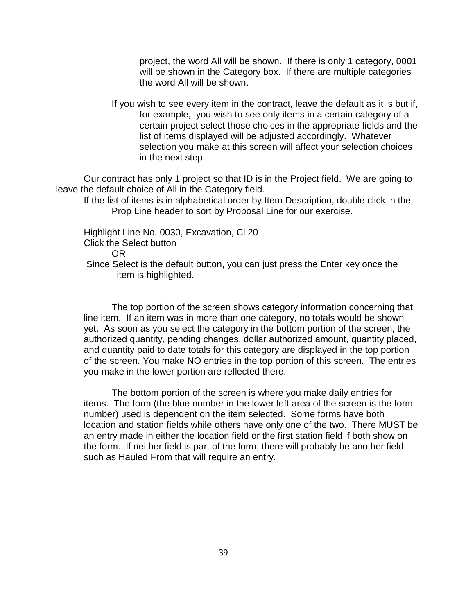project, the word All will be shown. If there is only 1 category, 0001 will be shown in the Category box. If there are multiple categories the word All will be shown.

If you wish to see every item in the contract, leave the default as it is but if, for example, you wish to see only items in a certain category of a certain project select those choices in the appropriate fields and the list of items displayed will be adjusted accordingly. Whatever selection you make at this screen will affect your selection choices in the next step.

Our contract has only 1 project so that ID is in the Project field. We are going to leave the default choice of All in the Category field.

If the list of items is in alphabetical order by Item Description, double click in the Prop Line header to sort by Proposal Line for our exercise.

Highlight Line No. 0030, Excavation, Cl 20 Click the Select button OR Since Select is the default button, you can just press the Enter key once the item is highlighted.

The top portion of the screen shows category information concerning that line item. If an item was in more than one category, no totals would be shown yet. As soon as you select the category in the bottom portion of the screen, the authorized quantity, pending changes, dollar authorized amount, quantity placed, and quantity paid to date totals for this category are displayed in the top portion of the screen. You make NO entries in the top portion of this screen. The entries you make in the lower portion are reflected there.

The bottom portion of the screen is where you make daily entries for items. The form (the blue number in the lower left area of the screen is the form number) used is dependent on the item selected. Some forms have both location and station fields while others have only one of the two. There MUST be an entry made in either the location field or the first station field if both show on the form. If neither field is part of the form, there will probably be another field such as Hauled From that will require an entry.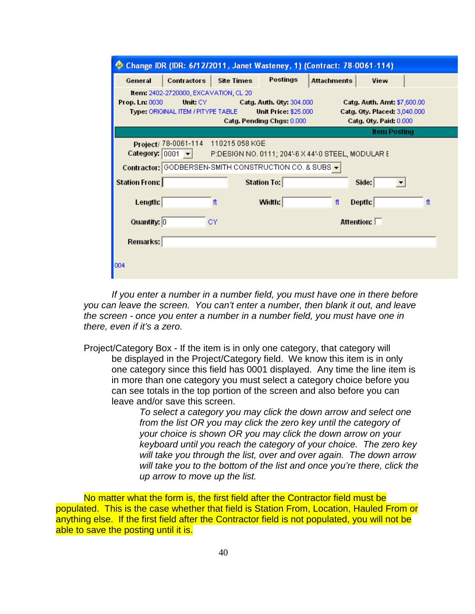|                |                                                                                         |                   | Change IDR (IDR: 6/12/2011, Janet Wasteney, 1) (Contract: 78-0061-114)               |                    |                                                                                              |    |
|----------------|-----------------------------------------------------------------------------------------|-------------------|--------------------------------------------------------------------------------------|--------------------|----------------------------------------------------------------------------------------------|----|
| General        | <b>Contractors</b>                                                                      | <b>Site Times</b> | Postings                                                                             | <b>Attachments</b> | View                                                                                         |    |
| Prop. Ln: 0030 | Item: 2402-2720000, EXCAVATION, CL 20<br>Unit: CY<br>Type: ORIGINAL ITEM / PITYPE TABLE |                   | Catg. Auth. 0ty: 304.000<br><b>Unit Price: \$25,000</b><br>Catg. Pending Chgs: 0.000 |                    | Catg. Auth. Amt: \$7,600.00<br>Catg. Qty. Placed: 3,040.000<br><b>Catg. Qty. Paid: 0.000</b> |    |
|                |                                                                                         |                   |                                                                                      |                    | <b>Item Posting</b>                                                                          |    |
|                | Project/ 78-0061-114 110215 058 KGE<br>Category: $0001 - $                              |                   | P:DESIGN NO. 0111; 204'-6 X 44'-0 STEEL, MODULAR E                                   |                    |                                                                                              |    |
|                |                                                                                         |                   | Contractor: GODBERSEN-SMITH CONSTRUCTION CO. & SUBS -                                |                    |                                                                                              |    |
| Station From:  |                                                                                         |                   | <b>Station To:</b>                                                                   |                    | Side:                                                                                        |    |
| Length:        |                                                                                         | ft                | Width:                                                                               | ft                 | Depth:                                                                                       | ft |
| Quantity: 0    |                                                                                         | СY                |                                                                                      |                    | Attention: $\square$                                                                         |    |
| Remarks:       |                                                                                         |                   |                                                                                      |                    |                                                                                              |    |
| 004            |                                                                                         |                   |                                                                                      |                    |                                                                                              |    |

*If you enter a number in a number field, you must have one in there before you can leave the screen. You can't enter a number, then blank it out, and leave the screen - once you enter a number in a number field, you must have one in there, even if it's a zero.*

Project/Category Box - If the item is in only one category, that category will be displayed in the Project/Category field. We know this item is in only one category since this field has 0001 displayed. Any time the line item is in more than one category you must select a category choice before you can see totals in the top portion of the screen and also before you can leave and/or save this screen.

> *To select a category you may click the down arrow and select one from the list OR you may click the zero key until the category of your choice is shown OR you may click the down arrow on your keyboard until you reach the category of your choice. The zero key will take you through the list, over and over again. The down arrow will take you to the bottom of the list and once you're there, click the up arrow to move up the list.*

No matter what the form is, the first field after the Contractor field must be populated. This is the case whether that field is Station From, Location, Hauled From or anything else. If the first field after the Contractor field is not populated, you will not be able to save the posting until it is.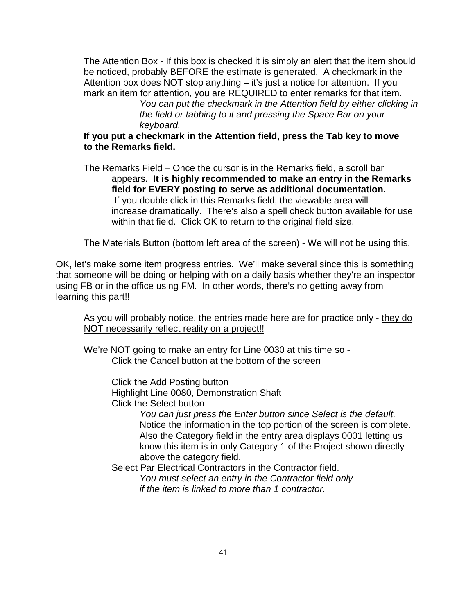The Attention Box - If this box is checked it is simply an alert that the item should be noticed, probably BEFORE the estimate is generated. A checkmark in the Attention box does NOT stop anything – it's just a notice for attention. If you mark an item for attention, you are REQUIRED to enter remarks for that item.

*You can put the checkmark in the Attention field by either clicking in the field or tabbing to it and pressing the Space Bar on your keyboard.*

### **If you put a checkmark in the Attention field, press the Tab key to move to the Remarks field.**

The Remarks Field – Once the cursor is in the Remarks field, a scroll bar appears**. It is highly recommended to make an entry in the Remarks field for EVERY posting to serve as additional documentation.** If you double click in this Remarks field, the viewable area will increase dramatically. There's also a spell check button available for use within that field. Click OK to return to the original field size.

The Materials Button (bottom left area of the screen) - We will not be using this.

OK, let's make some item progress entries. We'll make several since this is something that someone will be doing or helping with on a daily basis whether they're an inspector using FB or in the office using FM. In other words, there's no getting away from learning this part!!

As you will probably notice, the entries made here are for practice only - they do NOT necessarily reflect reality on a project!!

We're NOT going to make an entry for Line 0030 at this time so - Click the Cancel button at the bottom of the screen

> Click the Add Posting button Highlight Line 0080, Demonstration Shaft

Click the Select button

*You can just press the Enter button since Select is the default.* Notice the information in the top portion of the screen is complete. Also the Category field in the entry area displays 0001 letting us know this item is in only Category 1 of the Project shown directly above the category field.

Select Par Electrical Contractors in the Contractor field.

*You must select an entry in the Contractor field only if the item is linked to more than 1 contractor.*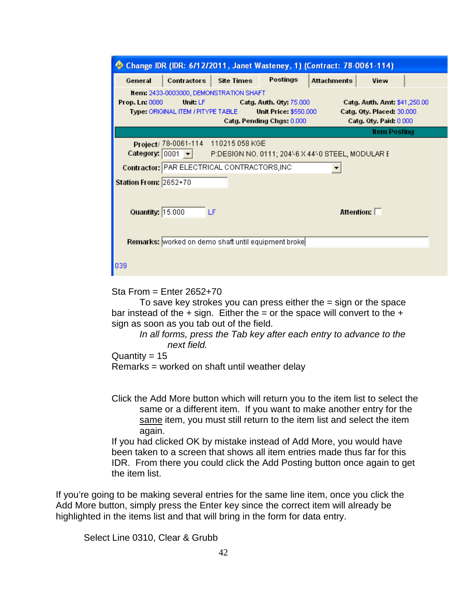|                              |                                                     |                                                     | Change IDR (IDR: 6/12/2011, Janet Wasteney, 1) (Contract: 78-0061-114)               |             |                                                                                            |  |
|------------------------------|-----------------------------------------------------|-----------------------------------------------------|--------------------------------------------------------------------------------------|-------------|--------------------------------------------------------------------------------------------|--|
| General                      | Contractors                                         | <b>Site Times</b>                                   | Postings                                                                             | Attachments | View                                                                                       |  |
| Prop. Ln: 0080               | Unit: LF<br>Type: ORIGINAL ITEM / PITYPE TABLE      | Item: 2433-0003000, DEMONSTRATION SHAFT             | Catg. Auth. 0ty: 75.000<br><b>Unit Price: \$550,000</b><br>Catg. Pending Chgs: 0.000 |             | Catg. Auth. Amt: \$41,250.00<br>Catg. Qty. Placed: 30.000<br><b>Catg. Qty. Paid: 0.000</b> |  |
|                              |                                                     |                                                     |                                                                                      |             | <b>Item Posting</b>                                                                        |  |
|                              | Category: $ 0001 \rangle$ $\blacktriangleright$ $ $ | Project/ 78-0061-114 110215 058 KGE                 | P:DESIGN NO. 0111; 204'-6 X 44'-0 STEEL, MODULAR E                                   |             |                                                                                            |  |
|                              |                                                     | Contractor: PAR ELECTRICAL CONTRACTORS, INC         |                                                                                      |             |                                                                                            |  |
| <b>Station From: 2652+70</b> |                                                     |                                                     |                                                                                      |             |                                                                                            |  |
| Quantity: 15.000             |                                                     | LF                                                  |                                                                                      |             | Attention: $\square$                                                                       |  |
|                              |                                                     | Remarks: worked on demo shaft until equipment broke |                                                                                      |             |                                                                                            |  |
| 039                          |                                                     |                                                     |                                                                                      |             |                                                                                            |  |

Sta From = Enter 2652+70

To save key strokes you can press either the  $=$  sign or the space bar instead of the  $+$  sign. Either the  $=$  or the space will convert to the  $+$ sign as soon as you tab out of the field.

*In all forms, press the Tab key after each entry to advance to the next field.*

Quantity =  $15$ 

Remarks = worked on shaft until weather delay

Click the Add More button which will return you to the item list to select the same or a different item. If you want to make another entry for the same item, you must still return to the item list and select the item again.

If you had clicked OK by mistake instead of Add More, you would have been taken to a screen that shows all item entries made thus far for this IDR. From there you could click the Add Posting button once again to get the item list.

If you're going to be making several entries for the same line item, once you click the Add More button, simply press the Enter key since the correct item will already be highlighted in the items list and that will bring in the form for data entry.

Select Line 0310, Clear & Grubb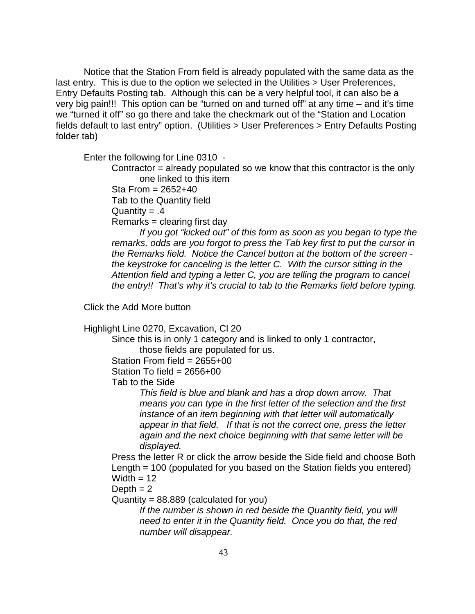Notice that the Station From field is already populated with the same data as the last entry. This is due to the option we selected in the Utilities > User Preferences, Entry Defaults Posting tab. Although this can be a very helpful tool, it can also be a very big pain!!! This option can be "turned on and turned off" at any time – and it's time we "turned it off" so go there and take the checkmark out of the "Station and Location fields default to last entry" option. (Utilities > User Preferences > Entry Defaults Posting folder tab)

Enter the following for Line 0310 -

Contractor = already populated so we know that this contractor is the only one linked to this item

Sta From  $= 2652+40$ Tab to the Quantity field

Quantity =  $.4$ 

Remarks = clearing first day

*If you got "kicked out" of this form as soon as you began to type the remarks, odds are you forgot to press the Tab key first to put the cursor in the Remarks field. Notice the Cancel button at the bottom of the screen the keystroke for canceling is the letter C. With the cursor sitting in the Attention field and typing a letter C, you are telling the program to cancel the entry!! That's why it's crucial to tab to the Remarks field before typing.*

Click the Add More button

Highlight Line 0270, Excavation, Cl 20

Since this is in only 1 category and is linked to only 1 contractor, those fields are populated for us.

Station From field  $= 2655+00$ 

Station To field =  $2656+00$ 

Tab to the Side

*This field is blue and blank and has a drop down arrow. That means you can type in the first letter of the selection and the first instance of an item beginning with that letter will automatically appear in that field. If that is not the correct one, press the letter again and the next choice beginning with that same letter will be displayed.*

Press the letter R or click the arrow beside the Side field and choose Both Length = 100 (populated for you based on the Station fields you entered) Width  $= 12$ 

Depth  $= 2$ 

 $Quantity = 88.889$  (calculated for you)

*If the number is shown in red beside the Quantity field, you will need to enter it in the Quantity field. Once you do that, the red number will disappear.*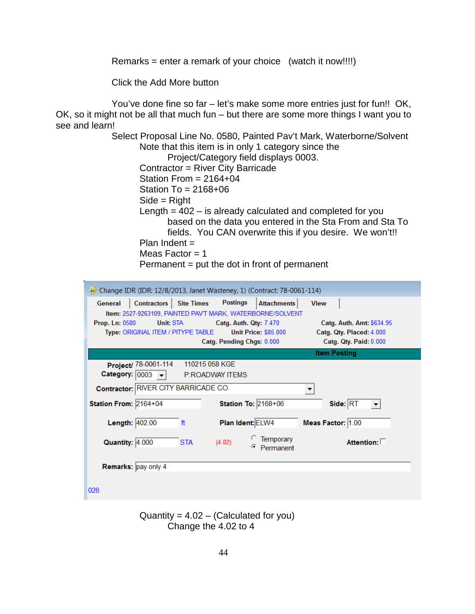Remarks = enter a remark of your choice (watch it now!!!!)

Click the Add More button

You've done fine so far – let's make some more entries just for fun!! OK, OK, so it might not be all that much fun – but there are some more things I want you to see and learn!

> Select Proposal Line No. 0580, Painted Pav't Mark, Waterborne/Solvent Note that this item is in only 1 category since the Project/Category field displays 0003. Contractor = River City Barricade Station From = 2164+04 Station To = 2168+06 Side = Right Length  $= 402 -$  is already calculated and completed for you based on the data you entered in the Sta From and Sta To fields. You CAN overwrite this if you desire. We won't!! Plan Indent = Meas Factor  $= 1$ Permanent = put the dot in front of permanent

| Change IDR (IDR: 12/8/2013, Janet Wasteney, 1) (Contract: 78-0061-114) |                                                            |                           |
|------------------------------------------------------------------------|------------------------------------------------------------|---------------------------|
| Contractors   Site Times<br>General                                    | <b>Postings</b><br><b>Attachments</b>                      | <b>View</b>               |
|                                                                        | Item: 2527-9263109, PAINTED PAV'T MARK, WATERBORNE/SOLVENT |                           |
| <b>Prop. Ln: 0580</b><br>Unit: STA                                     | Catg. Auth. Qty: 7.470                                     | Catg. Auth. Amt: \$634.95 |
| Type: ORIGINAL ITEM / PITYPE TABLE                                     | <b>Unit Price: \$85.000</b>                                | Catg. Qty. Placed: 4.000  |
|                                                                        | Catg. Pending Chgs: 0.000                                  | Catg. Qty. Paid: 0.000    |
|                                                                        |                                                            | <b>Item Posting</b>       |
| Project/ 78-0061-114                                                   | 110215 058 KGE                                             |                           |
| Category: $\boxed{0003}$ $\rightarrow$                                 | P:ROADWAY ITEMS                                            |                           |
| Contractor: RIVER CITY BARRICADE CO.                                   |                                                            | ▼                         |
| Station From: 2164+04                                                  | <b>Station To: 2168+06</b>                                 | Side: RT                  |
| Length: 402.00<br>ft                                                   | Plan Ident: ELW4                                           | Meas Factor: 1.00         |
| Quantity: 4.000<br><b>STA</b>                                          | Temporary<br>(4.02)<br>Permanent<br>G                      | Attention: $\square$      |
| Remarks: pay only 4                                                    |                                                            |                           |
| 026                                                                    |                                                            |                           |

Quantity =  $4.02 - (Calculated for you)$ Change the 4.02 to 4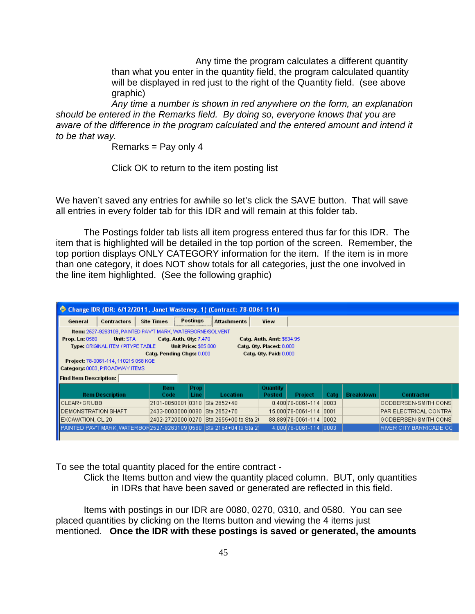Any time the program calculates a different quantity than what you enter in the quantity field, the program calculated quantity will be displayed in red just to the right of the Quantity field. (see above graphic)

*Any time a number is shown in red anywhere on the form, an explanation should be entered in the Remarks field. By doing so, everyone knows that you are aware of the difference in the program calculated and the entered amount and intend it to be that way.*

Remarks  $=$  Pay only 4

Click OK to return to the item posting list

We haven't saved any entries for awhile so let's click the SAVE button. That will save all entries in every folder tab for this IDR and will remain at this folder tab.

The Postings folder tab lists all item progress entered thus far for this IDR. The item that is highlighted will be detailed in the top portion of the screen. Remember, the top portion displays ONLY CATEGORY information for the item. If the item is in more than one category, it does NOT show totals for all categories, just the one involved in the line item highlighted. (See the following graphic)

| Change IDR (IDR: 6/12/2011, Janet Wasteney, 1) (Contract: 78-0061-114)                                                                                                                                                                                                                                                                                                                                                             |                                                                                              |                     |                      |                    |                    |                        |       |                  |                          |  |
|------------------------------------------------------------------------------------------------------------------------------------------------------------------------------------------------------------------------------------------------------------------------------------------------------------------------------------------------------------------------------------------------------------------------------------|----------------------------------------------------------------------------------------------|---------------------|----------------------|--------------------|--------------------|------------------------|-------|------------------|--------------------------|--|
| Postings<br><b>Site Times</b><br><b>Attachments</b><br>View<br>General<br><b>Contractors</b>                                                                                                                                                                                                                                                                                                                                       |                                                                                              |                     |                      |                    |                    |                        |       |                  |                          |  |
| Item: 2527-9263109, PAINTED PAV'T MARK, WATERBORNE/SOLVENT<br>Prop. Ln: 0580<br>Unit: STA<br><b>Catg. Auth. Qty: 7.470</b><br><b>Catg. Auth. Amt: \$634.95</b><br>Type: ORIGINAL ITEM / PITYPE TABLE<br><b>Unit Price: \$85,000</b><br>Catg. Oty. Placed: 8.000<br>Catg. Qty. Paid: 0.000<br>Catg. Pending Chgs: 0.000<br>Project: 78-0061-114, 110215 058 KGE<br>Category: 0003, P:ROADWAY ITEMS<br><b>Find Item Description:</b> |                                                                                              |                     |                      |                    |                    |                        |       |                  |                          |  |
| <b>Item Description</b>                                                                                                                                                                                                                                                                                                                                                                                                            |                                                                                              | <b>Item</b><br>Code | <b>Prop</b><br>Line: | Location           | Quantity<br>Posted | <b>Project</b>         | Catg  | <b>Breakdown</b> | Contractor               |  |
| ICLEAR+GRUBB                                                                                                                                                                                                                                                                                                                                                                                                                       |                                                                                              | 2101-0850001        |                      | 0310   Sta 2652+40 |                    | 0.400 78-0061-114      | 10003 |                  | GODBERSEN-SMITH CONS     |  |
| <b>IDEMONSTRATION SHAFT</b>                                                                                                                                                                                                                                                                                                                                                                                                        |                                                                                              | 2433-0003000 0080   |                      | Sta 2652+70        |                    | 15.000 78-0061-114     | 0001  |                  | PAR ELECTRICAL CONTRAI   |  |
| <b>IEXCAVATION, CL 20</b>                                                                                                                                                                                                                                                                                                                                                                                                          | 2402-272000010270 ISta 2655+00 to Sta 21<br>88.889 78-0061-114 0002<br> GODBERSEN-SMITH CONS |                     |                      |                    |                    |                        |       |                  |                          |  |
| PAINTED PAVT MARK, WATERBOR 2527-9263109 0580 Sta 2164+04 to Sta 21                                                                                                                                                                                                                                                                                                                                                                |                                                                                              |                     |                      |                    |                    | 4.000 78-0061-114 0003 |       |                  | IRIVER CITY BARRICADE CO |  |

To see the total quantity placed for the entire contract -

Click the Items button and view the quantity placed column. BUT, only quantities in IDRs that have been saved or generated are reflected in this field.

Items with postings in our IDR are 0080, 0270, 0310, and 0580. You can see placed quantities by clicking on the Items button and viewing the 4 items just mentioned. **Once the IDR with these postings is saved or generated, the amounts**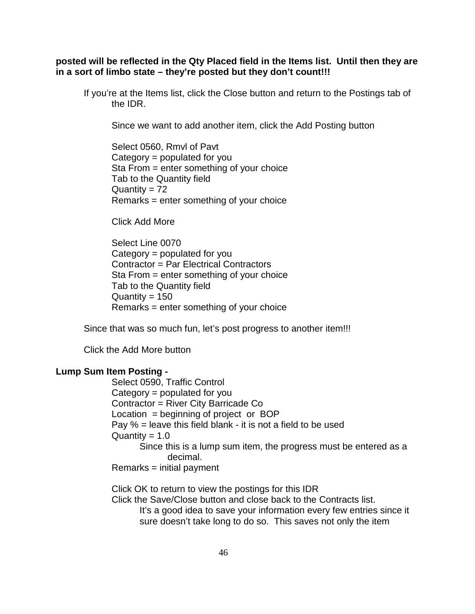**posted will be reflected in the Qty Placed field in the Items list. Until then they are in a sort of limbo state – they're posted but they don't count!!!** 

If you're at the Items list, click the Close button and return to the Postings tab of the IDR.

Since we want to add another item, click the Add Posting button

Select 0560, Rmvl of Pavt Category = populated for you Sta From = enter something of your choice Tab to the Quantity field Quantity  $= 72$ Remarks = enter something of your choice

Click Add More

Select Line 0070 Category = populated for you Contractor = Par Electrical Contractors Sta From = enter something of your choice Tab to the Quantity field  $Quantity = 150$ Remarks = enter something of your choice

Since that was so much fun, let's post progress to another item!!!

Click the Add More button

### **Lump Sum Item Posting -**

Select 0590, Traffic Control Category = populated for you Contractor = River City Barricade Co Location = beginning of project or BOP Pay  $%$  = leave this field blank - it is not a field to be used  $Quantity = 1.0$ Since this is a lump sum item, the progress must be entered as a decimal. Remarks = initial payment

Click OK to return to view the postings for this IDR

Click the Save/Close button and close back to the Contracts list.

It's a good idea to save your information every few entries since it sure doesn't take long to do so. This saves not only the item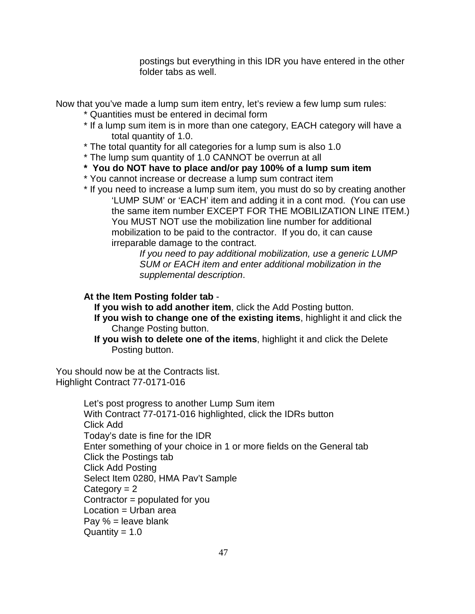postings but everything in this IDR you have entered in the other folder tabs as well.

Now that you've made a lump sum item entry, let's review a few lump sum rules:

- \* Quantities must be entered in decimal form
- \* If a lump sum item is in more than one category, EACH category will have a total quantity of 1.0.
- \* The total quantity for all categories for a lump sum is also 1.0
- \* The lump sum quantity of 1.0 CANNOT be overrun at all
- **\* You do NOT have to place and/or pay 100% of a lump sum item**
- \* You cannot increase or decrease a lump sum contract item
- \* If you need to increase a lump sum item, you must do so by creating another 'LUMP SUM' or 'EACH' item and adding it in a cont mod. (You can use the same item number EXCEPT FOR THE MOBILIZATION LINE ITEM.) You MUST NOT use the mobilization line number for additional mobilization to be paid to the contractor. If you do, it can cause irreparable damage to the contract.

*If you need to pay additional mobilization, use a generic LUMP SUM or EACH item and enter additional mobilization in the supplemental description*.

## **At the Item Posting folder tab** -

**If you wish to add another item, click the Add Posting button.** 

- **If you wish to change one of the existing items**, highlight it and click the Change Posting button.
- **If you wish to delete one of the items**, highlight it and click the Delete Posting button.

You should now be at the Contracts list. Highlight Contract 77-0171-016

> Let's post progress to another Lump Sum item With Contract 77-0171-016 highlighted, click the IDRs button Click Add Today's date is fine for the IDR Enter something of your choice in 1 or more fields on the General tab Click the Postings tab Click Add Posting Select Item 0280, HMA Pav't Sample Category  $= 2$ Contractor = populated for you Location = Urban area Pay % = leave blank Quantity =  $1.0$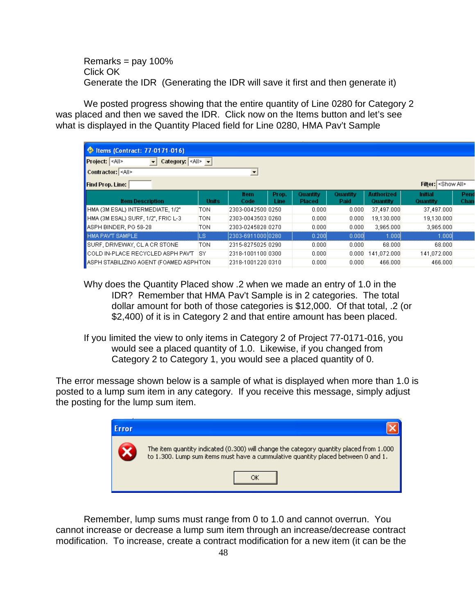Remarks =  $pay\ 100\%$ Click OK Generate the IDR (Generating the IDR will save it first and then generate it)

We posted progress showing that the entire quantity of Line 0280 for Category 2 was placed and then we saved the IDR. Click now on the Items button and let's see what is displayed in the Quantity Placed field for Line 0280, HMA Pav't Sample

| Contract: 77-0171-016)                                                                                    |              |                      |               |                           |                  |                               |                            |              |  |  |  |
|-----------------------------------------------------------------------------------------------------------|--------------|----------------------|---------------|---------------------------|------------------|-------------------------------|----------------------------|--------------|--|--|--|
| Category: $\leq$ All> $\neq$<br>Project: <all><br/><math display="inline">\blacktriangledown</math></all> |              |                      |               |                           |                  |                               |                            |              |  |  |  |
| <mark>¶</mark> Contractor:   <all></all>                                                                  |              | $\blacktriangledown$ |               |                           |                  |                               |                            |              |  |  |  |
| <b>Find Prop. Line:</b>                                                                                   |              |                      |               |                           |                  |                               | Filter: Show All>          |              |  |  |  |
| <b>Item Description</b>                                                                                   | <b>Units</b> | ltem.<br>Code        | Prop.<br>Line | Quantity<br><b>Placed</b> | Quantity<br>Paid | <b>Authorized</b><br>Quantity | <b>Initial</b><br>Quantity | Pend<br>Chan |  |  |  |
| HMA (3M ESAL) INTERMEDIATE, 1/2"                                                                          | <b>TON</b>   | 2303-0042500 0250    |               | 0.000                     | 0.000            | 37,497.000                    | 37,497.000                 |              |  |  |  |
| HMA (3M ESAL) SURF, 1/2", FRIC L-3                                                                        | <b>TON</b>   | 2303-0043503 0260    |               | 0.000                     | 0.000            | 19,130.000                    | 19,130,000                 |              |  |  |  |
| ASPH BINDER, PG 58-28                                                                                     | TON          | 2303-0245828 0270    |               | 0.000                     | 0.000            | 3,965,000                     | 3,965,000                  |              |  |  |  |
| <b>HMA PAV'T SAMPLE</b>                                                                                   | LS           | 2303-6911000 0280    |               | 0.200                     | 0.000            | 1.000                         | 1,000                      |              |  |  |  |
| SURF, DRIVEWAY, CLACR STONE                                                                               | <b>TON</b>   | 2315-8275025 0290    |               | 0.000                     | 0.000            | 68,000                        | 68,000                     |              |  |  |  |
| COLD IN-PLACE RECYCLED ASPH PAVT                                                                          | <b>ISY</b>   | 2318-1001100 0300    |               | 0.000                     | 0.000            | 141.072.000                   | 141.072.000                |              |  |  |  |
| ASPH STABILIZING AGENT (FOAMED ASPHTON                                                                    |              | 2318-1001220 0310    |               | 0.000                     | 0.000            | 466,000                       | 466,000                    |              |  |  |  |

Why does the Quantity Placed show .2 when we made an entry of 1.0 in the IDR? Remember that HMA Pav't Sample is in 2 categories. The total dollar amount for both of those categories is \$12,000. Of that total, .2 (or \$2,400) of it is in Category 2 and that entire amount has been placed.

If you limited the view to only items in Category 2 of Project 77-0171-016, you would see a placed quantity of 1.0. Likewise, if you changed from Category 2 to Category 1, you would see a placed quantity of 0.

The error message shown below is a sample of what is displayed when more than 1.0 is posted to a lump sum item in any category. If you receive this message, simply adjust the posting for the lump sum item.



Remember, lump sums must range from 0 to 1.0 and cannot overrun. You cannot increase or decrease a lump sum item through an increase/decrease contract modification. To increase, create a contract modification for a new item (it can be the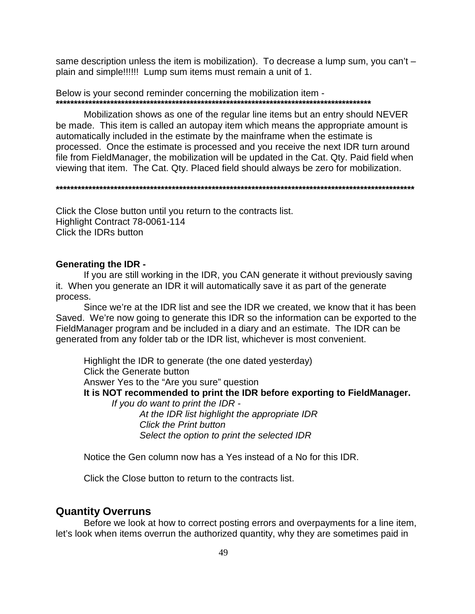same description unless the item is mobilization). To decrease a lump sum, you can't – plain and simple!!!!!! Lump sum items must remain a unit of 1.

Below is your second reminder concerning the mobilization item - **\*\*\*\*\*\*\*\*\*\*\*\*\*\*\*\*\*\*\*\*\*\*\*\*\*\*\*\*\*\*\*\*\*\*\*\*\*\*\*\*\*\*\*\*\*\*\*\*\*\*\*\*\*\*\*\*\*\*\*\*\*\*\*\*\*\*\*\*\*\*\*\*\*\*\*\*\*\*\*\*\*\*\*\*\*\*\***

Mobilization shows as one of the regular line items but an entry should NEVER be made. This item is called an autopay item which means the appropriate amount is automatically included in the estimate by the mainframe when the estimate is processed. Once the estimate is processed and you receive the next IDR turn around file from FieldManager, the mobilization will be updated in the Cat. Qty. Paid field when viewing that item. The Cat. Qty. Placed field should always be zero for mobilization.

**\*\*\*\*\*\*\*\*\*\*\*\*\*\*\*\*\*\*\*\*\*\*\*\*\*\*\*\*\*\*\*\*\*\*\*\*\*\*\*\*\*\*\*\*\*\*\*\*\*\*\*\*\*\*\*\*\*\*\*\*\*\*\*\*\*\*\*\*\*\*\*\*\*\*\*\*\*\*\*\*\*\*\*\*\*\*\*\*\*\*\*\*\*\*\*\*\*\*\***

Click the Close button until you return to the contracts list. Highlight Contract 78-0061-114 Click the IDRs button

#### **Generating the IDR -**

If you are still working in the IDR, you CAN generate it without previously saving it. When you generate an IDR it will automatically save it as part of the generate process.

Since we're at the IDR list and see the IDR we created, we know that it has been Saved. We're now going to generate this IDR so the information can be exported to the FieldManager program and be included in a diary and an estimate. The IDR can be generated from any folder tab or the IDR list, whichever is most convenient.

Highlight the IDR to generate (the one dated yesterday) Click the Generate button Answer Yes to the "Are you sure" question **It is NOT recommended to print the IDR before exporting to FieldManager.**  *If you do want to print the IDR - At the IDR list highlight the appropriate IDR Click the Print button*

*Select the option to print the selected IDR*

Notice the Gen column now has a Yes instead of a No for this IDR.

Click the Close button to return to the contracts list.

### **Quantity Overruns**

Before we look at how to correct posting errors and overpayments for a line item, let's look when items overrun the authorized quantity, why they are sometimes paid in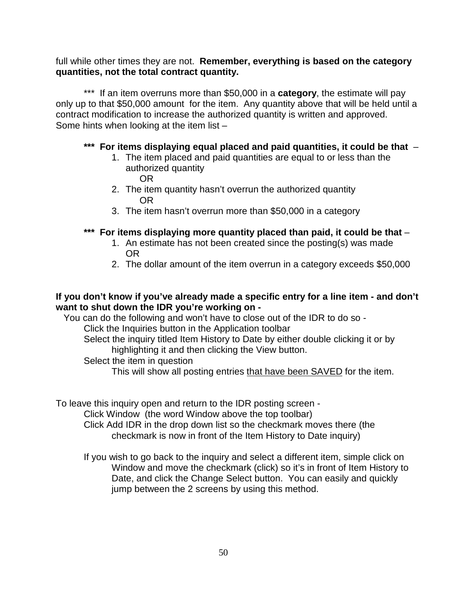full while other times they are not. **Remember, everything is based on the category quantities, not the total contract quantity.**

\*\*\* If an item overruns more than \$50,000 in a **category**, the estimate will pay only up to that \$50,000 amount for the item. Any quantity above that will be held until a contract modification to increase the authorized quantity is written and approved. Some hints when looking at the item list –

## **\*\*\* For items displaying equal placed and paid quantities, it could be that** –

- 1. The item placed and paid quantities are equal to or less than the authorized quantity OR
- 2. The item quantity hasn't overrun the authorized quantity OR
- 3. The item hasn't overrun more than \$50,000 in a category
- **\*\*\* For items displaying more quantity placed than paid, it could be that**
	- 1. An estimate has not been created since the posting(s) was made OR
	- 2. The dollar amount of the item overrun in a category exceeds \$50,000

## **If you don't know if you've already made a specific entry for a line item - and don't want to shut down the IDR you're working on -**

 You can do the following and won't have to close out of the IDR to do so - Click the Inquiries button in the Application toolbar Select the inquiry titled Item History to Date by either double clicking it or by highlighting it and then clicking the View button.

- Select the item in question
	- This will show all posting entries that have been SAVED for the item.

To leave this inquiry open and return to the IDR posting screen -

Click Window (the word Window above the top toolbar)

- Click Add IDR in the drop down list so the checkmark moves there (the checkmark is now in front of the Item History to Date inquiry)
- If you wish to go back to the inquiry and select a different item, simple click on Window and move the checkmark (click) so it's in front of Item History to Date, and click the Change Select button. You can easily and quickly jump between the 2 screens by using this method.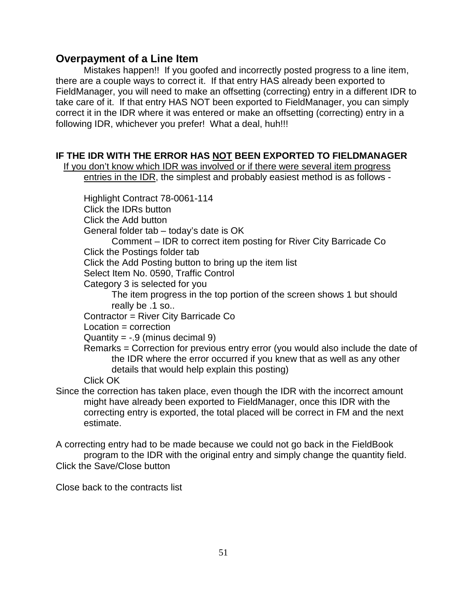## **Overpayment of a Line Item**

Mistakes happen!! If you goofed and incorrectly posted progress to a line item, there are a couple ways to correct it. If that entry HAS already been exported to FieldManager, you will need to make an offsetting (correcting) entry in a different IDR to take care of it. If that entry HAS NOT been exported to FieldManager, you can simply correct it in the IDR where it was entered or make an offsetting (correcting) entry in a following IDR, whichever you prefer! What a deal, huh!!!

## **IF THE IDR WITH THE ERROR HAS NOT BEEN EXPORTED TO FIELDMANAGER**

 If you don't know which IDR was involved or if there were several item progress entries in the IDR, the simplest and probably easiest method is as follows -

Highlight Contract 78-0061-114 Click the IDRs button Click the Add button General folder tab – today's date is OK Comment – IDR to correct item posting for River City Barricade Co Click the Postings folder tab Click the Add Posting button to bring up the item list Select Item No. 0590, Traffic Control Category 3 is selected for you The item progress in the top portion of the screen shows 1 but should really be .1 so.. Contractor = River City Barricade Co Location = correction Quantity  $= -.9$  (minus decimal 9) Remarks = Correction for previous entry error (you would also include the date of the IDR where the error occurred if you knew that as well as any other details that would help explain this posting)

Click OK

Since the correction has taken place, even though the IDR with the incorrect amount might have already been exported to FieldManager, once this IDR with the correcting entry is exported, the total placed will be correct in FM and the next estimate.

A correcting entry had to be made because we could not go back in the FieldBook program to the IDR with the original entry and simply change the quantity field. Click the Save/Close button

Close back to the contracts list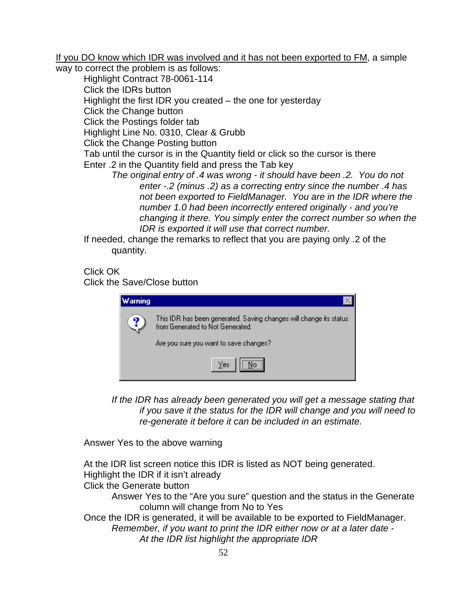If you DO know which IDR was involved and it has not been exported to FM, a simple

way to correct the problem is as follows:

Highlight Contract 78-0061-114 Click the IDRs button Highlight the first IDR you created – the one for yesterday Click the Change button Click the Postings folder tab Highlight Line No. 0310, Clear & Grubb Click the Change Posting button Tab until the cursor is in the Quantity field or click so the cursor is there Enter .2 in the Quantity field and press the Tab key *The original entry of .4 was wrong - it should have been .2. You do not enter -.2 (minus .2) as a correcting entry since the number .4 has not been exported to FieldManager. You are in the IDR where the* 

*number 1.0 had been incorrectly entered originally - and you're changing it there. You simply enter the correct number so when the IDR is exported it will use that correct number.*

If needed, change the remarks to reflect that you are paying only .2 of the quantity.

Click OK

Click the Save/Close button

| Warning |                                                                                                        |
|---------|--------------------------------------------------------------------------------------------------------|
| ु       | This IDR has been generated. Saving changes will change its status<br>from Generated to Not Generated. |
|         | Are you sure you want to save changes?                                                                 |
|         | Yes                                                                                                    |

*If the IDR has already been generated you will get a message stating that if you save it the status for the IDR will change and you will need to re-generate it before it can be included in an estimate.*

Answer Yes to the above warning

At the IDR list screen notice this IDR is listed as NOT being generated. Highlight the IDR if it isn't already Click the Generate button Answer Yes to the "Are you sure" question and the status in the Generate column will change from No to Yes Once the IDR is generated, it will be available to be exported to FieldManager. *Remember, if you want to print the IDR either now or at a later date - At the IDR list highlight the appropriate IDR*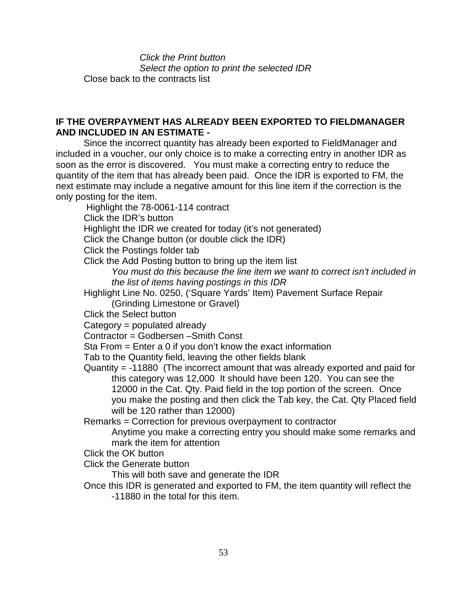*Click the Print button Select the option to print the selected IDR* Close back to the contracts list

## **IF THE OVERPAYMENT HAS ALREADY BEEN EXPORTED TO FIELDMANAGER AND INCLUDED IN AN ESTIMATE -**

Since the incorrect quantity has already been exported to FieldManager and included in a voucher, our only choice is to make a correcting entry in another IDR as soon as the error is discovered. You must make a correcting entry to reduce the quantity of the item that has already been paid. Once the IDR is exported to FM, the next estimate may include a negative amount for this line item if the correction is the only posting for the item.

Highlight the 78-0061-114 contract Click the IDR's button Highlight the IDR we created for today (it's not generated) Click the Change button (or double click the IDR) Click the Postings folder tab Click the Add Posting button to bring up the item list *You must do this because the line item we want to correct isn't included in the list of items having postings in this IDR* Highlight Line No. 0250, ('Square Yards' Item) Pavement Surface Repair (Grinding Limestone or Gravel) Click the Select button Category = populated already

Contractor = Godbersen –Smith Const

Sta From = Enter a 0 if you don't know the exact information

Tab to the Quantity field, leaving the other fields blank

Quantity = -11880 (The incorrect amount that was already exported and paid for this category was 12,000 It should have been 120. You can see the 12000 in the Cat. Qty. Paid field in the top portion of the screen. Once you make the posting and then click the Tab key, the Cat. Qty Placed field will be 120 rather than 12000)

Remarks = Correction for previous overpayment to contractor

Anytime you make a correcting entry you should make some remarks and mark the item for attention

Click the OK button

Click the Generate button

This will both save and generate the IDR

Once this IDR is generated and exported to FM, the item quantity will reflect the -11880 in the total for this item.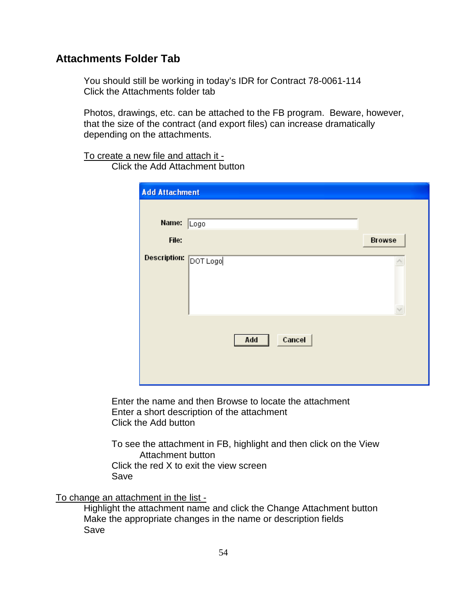## **Attachments Folder Tab**

You should still be working in today's IDR for Contract 78-0061-114 Click the Attachments folder tab

Photos, drawings, etc. can be attached to the FB program. Beware, however, that the size of the contract (and export files) can increase dramatically depending on the attachments.

To create a new file and attach it - Click the Add Attachment button

| <b>Add Attachment</b> |      |     |        |               |
|-----------------------|------|-----|--------|---------------|
| Name:                 | Logo |     |        |               |
| File:                 |      |     |        | <b>Browse</b> |
| Description: DOT Logo |      |     |        |               |
|                       |      | Add | Cancel |               |

Enter the name and then Browse to locate the attachment Enter a short description of the attachment Click the Add button

To see the attachment in FB, highlight and then click on the View Attachment button Click the red X to exit the view screen Save

To change an attachment in the list -

Highlight the attachment name and click the Change Attachment button Make the appropriate changes in the name or description fields Save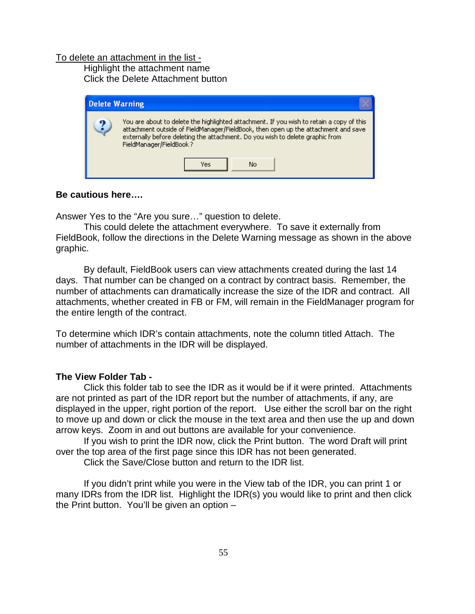#### To delete an attachment in the list -

Highlight the attachment name Click the Delete Attachment button



### **Be cautious here….**

Answer Yes to the "Are you sure…" question to delete.

This could delete the attachment everywhere. To save it externally from FieldBook, follow the directions in the Delete Warning message as shown in the above graphic.

By default, FieldBook users can view attachments created during the last 14 days. That number can be changed on a contract by contract basis. Remember, the number of attachments can dramatically increase the size of the IDR and contract. All attachments, whether created in FB or FM, will remain in the FieldManager program for the entire length of the contract.

To determine which IDR's contain attachments, note the column titled Attach. The number of attachments in the IDR will be displayed.

## **The View Folder Tab -**

Click this folder tab to see the IDR as it would be if it were printed. Attachments are not printed as part of the IDR report but the number of attachments, if any, are displayed in the upper, right portion of the report. Use either the scroll bar on the right to move up and down or click the mouse in the text area and then use the up and down arrow keys. Zoom in and out buttons are available for your convenience.

If you wish to print the IDR now, click the Print button. The word Draft will print over the top area of the first page since this IDR has not been generated.

Click the Save/Close button and return to the IDR list.

If you didn't print while you were in the View tab of the IDR, you can print 1 or many IDRs from the IDR list. Highlight the IDR(s) you would like to print and then click the Print button. You'll be given an option –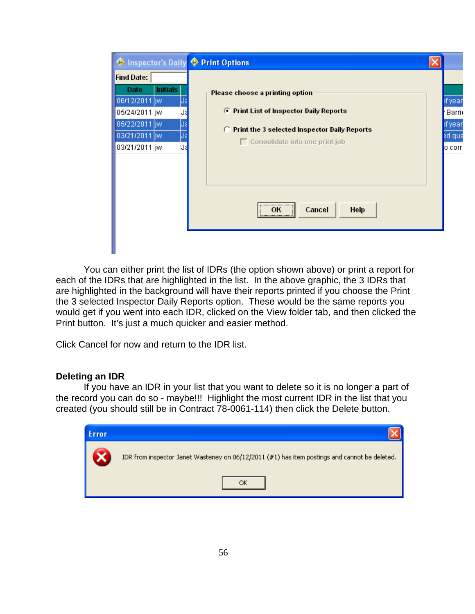| Inspector's Daily Print Options                                                                                                                                       |                                                                                                                                                                                   |                                                  |
|-----------------------------------------------------------------------------------------------------------------------------------------------------------------------|-----------------------------------------------------------------------------------------------------------------------------------------------------------------------------------|--------------------------------------------------|
| <b>Find Date:</b><br><b>Initials</b><br><b>Date</b><br>06/12/2011 jw<br>05/24/2011 jw<br>IJa<br>05/22/2011 jw<br>IJε<br>03/21/2011 jiw<br>IJε<br>03/21/2011 jw<br>IJą | Please choose a printing option<br><b>C</b> Print List of Inspector Daily Reports<br>$\Box$ Print the 3 selected Inspector Daily Reports<br>$\Box$ Consolidate into one print job | of year<br>Barri<br>of year<br>ed qui<br>lo corr |
|                                                                                                                                                                       | <br>Cancel<br>Help<br>ок                                                                                                                                                          |                                                  |

You can either print the list of IDRs (the option shown above) or print a report for each of the IDRs that are highlighted in the list. In the above graphic, the 3 IDRs that are highlighted in the background will have their reports printed if you choose the Print the 3 selected Inspector Daily Reports option. These would be the same reports you would get if you went into each IDR, clicked on the View folder tab, and then clicked the Print button. It's just a much quicker and easier method.

Click Cancel for now and return to the IDR list.

## **Deleting an IDR**

If you have an IDR in your list that you want to delete so it is no longer a part of the record you can do so - maybe!!! Highlight the most current IDR in the list that you created (you should still be in Contract 78-0061-114) then click the Delete button.

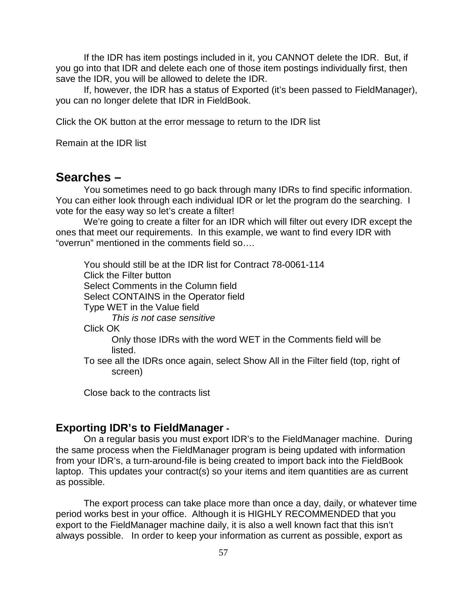If the IDR has item postings included in it, you CANNOT delete the IDR. But, if you go into that IDR and delete each one of those item postings individually first, then save the IDR, you will be allowed to delete the IDR.

If, however, the IDR has a status of Exported (it's been passed to FieldManager), you can no longer delete that IDR in FieldBook.

Click the OK button at the error message to return to the IDR list

Remain at the IDR list

## **Searches –**

You sometimes need to go back through many IDRs to find specific information. You can either look through each individual IDR or let the program do the searching. I vote for the easy way so let's create a filter!

We're going to create a filter for an IDR which will filter out every IDR except the ones that meet our requirements. In this example, we want to find every IDR with "overrun" mentioned in the comments field so….

You should still be at the IDR list for Contract 78-0061-114 Click the Filter button Select Comments in the Column field Select CONTAINS in the Operator field Type WET in the Value field *This is not case sensitive* Click OK Only those IDRs with the word WET in the Comments field will be listed. To see all the IDRs once again, select Show All in the Filter field (top, right of screen)

Close back to the contracts list

## **Exporting IDR's to FieldManager -**

On a regular basis you must export IDR's to the FieldManager machine. During the same process when the FieldManager program is being updated with information from your IDR's, a turn-around-file is being created to import back into the FieldBook laptop. This updates your contract(s) so your items and item quantities are as current as possible.

The export process can take place more than once a day, daily, or whatever time period works best in your office. Although it is HIGHLY RECOMMENDED that you export to the FieldManager machine daily, it is also a well known fact that this isn't always possible. In order to keep your information as current as possible, export as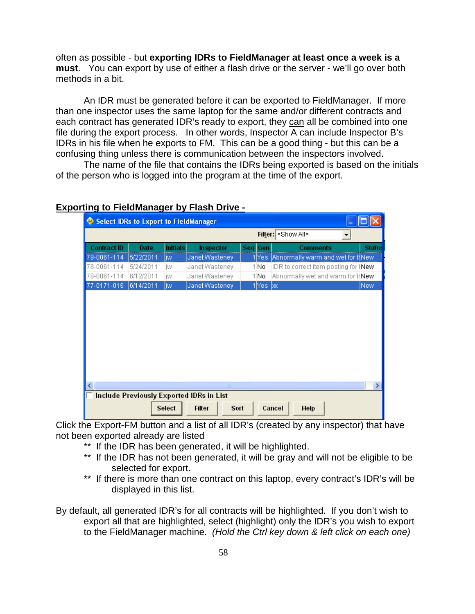often as possible - but **exporting IDRs to FieldManager at least once a week is a must**. You can export by use of either a flash drive or the server - we'll go over both methods in a bit.

An IDR must be generated before it can be exported to FieldManager. If more than one inspector uses the same laptop for the same and/or different contracts and each contract has generated IDR's ready to export, they can all be combined into one file during the export process. In other words, Inspector A can include Inspector B's IDRs in his file when he exports to FM. This can be a good thing - but this can be a confusing thing unless there is communication between the inspectors involved.

The name of the file that contains the IDRs being exported is based on the initials of the person who is logged into the program at the time of the export.

|                                   | <b>Select IDRs to Export to FieldManager</b> |                       |                                                 |     |                   |                                               |       |
|-----------------------------------|----------------------------------------------|-----------------------|-------------------------------------------------|-----|-------------------|-----------------------------------------------|-------|
|                                   |                                              |                       |                                                 |     |                   | Filter: <show all=""></show>                  |       |
| <b>Contract ID</b><br>78-0061-114 | Date<br>5/22/2011                            | <b>Initials</b><br>jw | Inspector<br>Janet Wasteney                     | Sea | Gen<br>1 Yes      | Comments<br>Abnormally warm and wet for thNew | Statu |
| 78-0061-114                       | 5/24/2011                                    | iw                    | Janet Wasteney                                  |     | 1No               | IDR to correct item posting for INew          |       |
| 78-0061-114                       | 6/12/2011                                    | iw                    | Janet Wasteney                                  |     | 1No               | Abnormally wet and warm for thew              |       |
| 77-0171-016                       | 6/14/2011                                    | liw                   | Janet Wasteney                                  |     | $1$  Yes $\alpha$ |                                               | New   |
|                                   |                                              |                       |                                                 |     |                   |                                               |       |
|                                   |                                              |                       | $\mathop{\rm Hilb}\nolimits$                    |     |                   |                                               |       |
|                                   |                                              |                       | <b>Include Previously Exported IDRs in List</b> |     |                   |                                               |       |
|                                   |                                              | Select                | <b>Filter</b><br>Sort                           |     |                   | Cancel<br>Help                                |       |

### **Exporting to FieldManager by Flash Drive -**

Click the Export-FM button and a list of all IDR's (created by any inspector) that have not been exported already are listed

- \*\* If the IDR has been generated, it will be highlighted.
- \*\* If the IDR has not been generated, it will be gray and will not be eligible to be selected for export.
- \*\* If there is more than one contract on this laptop, every contract's IDR's will be displayed in this list.

By default, all generated IDR's for all contracts will be highlighted. If you don't wish to export all that are highlighted, select (highlight) only the IDR's you wish to export to the FieldManager machine. *(Hold the Ctrl key down & left click on each one)*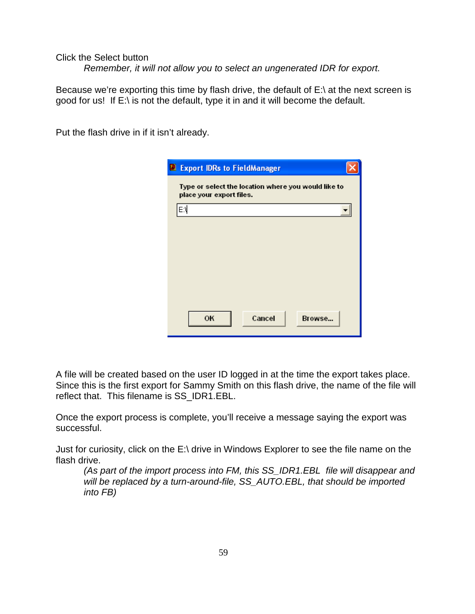## Click the Select button

*Remember, it will not allow you to select an ungenerated IDR for export.*

Because we're exporting this time by flash drive, the default of  $E \setminus \mathcal{A}$  at the next screen is good for us! If E:\ is not the default, type it in and it will become the default.

Put the flash drive in if it isn't already.

| <b>D</b> Export IDRs to FieldManager                                            |  |
|---------------------------------------------------------------------------------|--|
| Type or select the location where you would like to<br>place your export files. |  |
| ЕŊ                                                                              |  |
|                                                                                 |  |
|                                                                                 |  |
|                                                                                 |  |
|                                                                                 |  |
|                                                                                 |  |
| OK<br>Cancel<br>Browse                                                          |  |

A file will be created based on the user ID logged in at the time the export takes place. Since this is the first export for Sammy Smith on this flash drive, the name of the file will reflect that. This filename is SS\_IDR1.EBL.

Once the export process is complete, you'll receive a message saying the export was successful.

Just for curiosity, click on the E:\ drive in Windows Explorer to see the file name on the flash drive.

*(As part of the import process into FM, this SS\_IDR1.EBL file will disappear and will be replaced by a turn-around-file, SS\_AUTO.EBL, that should be imported into FB)*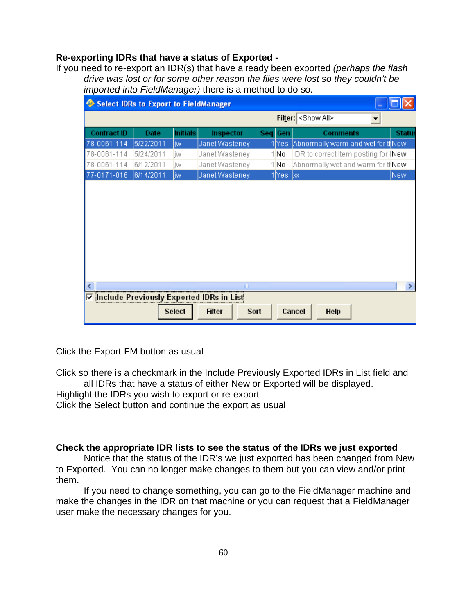## **Re-exporting IDRs that have a status of Exported -**

If you need to re-export an IDR(s) that have already been exported *(perhaps the flash drive was lost or for some other reason the files were lost so they couldn't be imported into FieldManager)* there is a method to do so.

| ۰                  | <b>Select IDRs to Export to FieldManager</b> |                 |                                                 |                   |                                      |                       |
|--------------------|----------------------------------------------|-----------------|-------------------------------------------------|-------------------|--------------------------------------|-----------------------|
|                    |                                              |                 |                                                 | Filter:           | <show all=""><br/>▼</show>           |                       |
| <b>Contract ID</b> | Date                                         | <b>Initials</b> | Inspector                                       | Seq Gen           | <b>Comments</b>                      | <b>Status</b>         |
| 78-0061-114        | 5/22/2011                                    | jw.             | Janet Wasteney                                  | 1 Yes             | Abnormally warm and wet for thNew    |                       |
| 78-0061-114        | 5/24/2011                                    | iw              | Janet Wasteney                                  | 1No               | IDR to correct item posting for (New |                       |
| 78-0061-114        | 6/12/2011                                    | iw              | Janet Wasteney                                  | 1 No              | Abnormally wet and warm for thew     |                       |
| 77-0171-016        | 6/14/2011                                    | jw.             | Janet Wasteney                                  | $1$  Yes $\infty$ |                                      | <b>New</b>            |
|                    |                                              |                 |                                                 |                   |                                      |                       |
|                    |                                              |                 |                                                 |                   |                                      |                       |
|                    |                                              |                 |                                                 |                   |                                      |                       |
| ≺                  |                                              |                 | III                                             |                   |                                      | $\blacktriangleright$ |
| ⊽                  |                                              |                 | <b>Include Previously Exported IDRs in List</b> |                   |                                      |                       |
|                    |                                              | Select          | Sort<br><b>Filter</b>                           |                   | Help<br>Cancel                       |                       |

Click the Export-FM button as usual

Click so there is a checkmark in the Include Previously Exported IDRs in List field and all IDRs that have a status of either New or Exported will be displayed.

Highlight the IDRs you wish to export or re-export

Click the Select button and continue the export as usual

## **Check the appropriate IDR lists to see the status of the IDRs we just exported**

Notice that the status of the IDR's we just exported has been changed from New to Exported. You can no longer make changes to them but you can view and/or print them.

If you need to change something, you can go to the FieldManager machine and make the changes in the IDR on that machine or you can request that a FieldManager user make the necessary changes for you.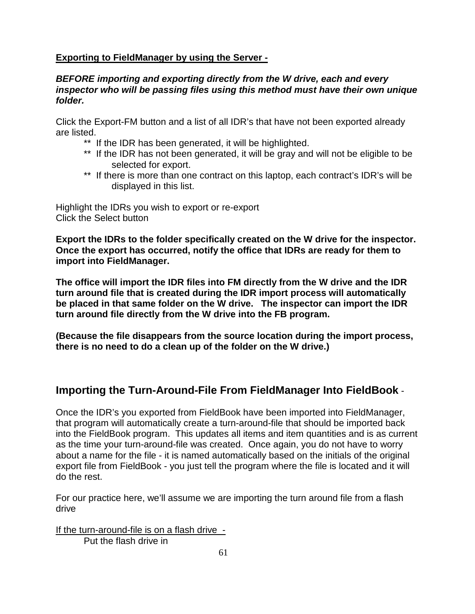## **Exporting to FieldManager by using the Server -**

## *BEFORE importing and exporting directly from the W drive, each and every inspector who will be passing files using this method must have their own unique folder.*

Click the Export-FM button and a list of all IDR's that have not been exported already are listed.

- \*\* If the IDR has been generated, it will be highlighted.
- \*\* If the IDR has not been generated, it will be gray and will not be eligible to be selected for export.
- \*\* If there is more than one contract on this laptop, each contract's IDR's will be displayed in this list.

Highlight the IDRs you wish to export or re-export Click the Select button

**Export the IDRs to the folder specifically created on the W drive for the inspector. Once the export has occurred, notify the office that IDRs are ready for them to import into FieldManager.** 

**The office will import the IDR files into FM directly from the W drive and the IDR turn around file that is created during the IDR import process will automatically be placed in that same folder on the W drive. The inspector can import the IDR turn around file directly from the W drive into the FB program.**

**(Because the file disappears from the source location during the import process, there is no need to do a clean up of the folder on the W drive.)** 

## **Importing the Turn-Around-File From FieldManager Into FieldBook** -

Once the IDR's you exported from FieldBook have been imported into FieldManager, that program will automatically create a turn-around-file that should be imported back into the FieldBook program. This updates all items and item quantities and is as current as the time your turn-around-file was created. Once again, you do not have to worry about a name for the file - it is named automatically based on the initials of the original export file from FieldBook - you just tell the program where the file is located and it will do the rest.

For our practice here, we'll assume we are importing the turn around file from a flash drive

If the turn-around-file is on a flash drive - Put the flash drive in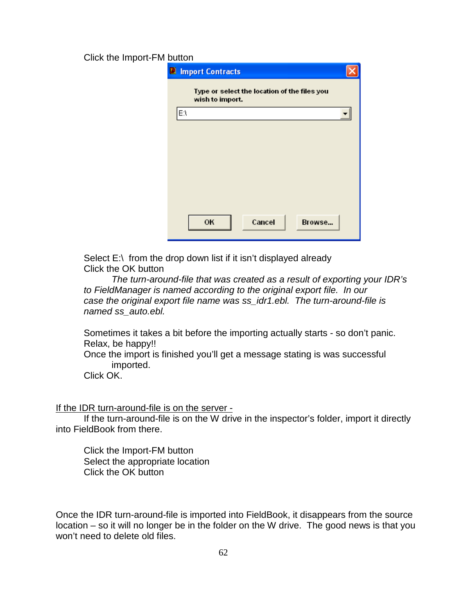### Click the Import-FM button

|    | <b>D</b> Import Contracts                                       |  |
|----|-----------------------------------------------------------------|--|
|    | Type or select the location of the files you<br>wish to import. |  |
| EΛ |                                                                 |  |
|    |                                                                 |  |
|    |                                                                 |  |
|    |                                                                 |  |
|    |                                                                 |  |
|    |                                                                 |  |
|    |                                                                 |  |
|    | OK<br>Cancel<br>Browse                                          |  |

Select  $E:\int$  from the drop down list if it isn't displayed already Click the OK button

*The turn-around-file that was created as a result of exporting your IDR's to FieldManager is named according to the original export file. In our case the original export file name was ss\_idr1.ebl. The turn-around-file is named ss\_auto.ebl.*

Sometimes it takes a bit before the importing actually starts - so don't panic. Relax, be happy!!

Once the import is finished you'll get a message stating is was successful imported.

Click OK.

### If the IDR turn-around-file is on the server -

If the turn-around-file is on the W drive in the inspector's folder, import it directly into FieldBook from there.

Click the Import-FM button Select the appropriate location Click the OK button

Once the IDR turn-around-file is imported into FieldBook, it disappears from the source location – so it will no longer be in the folder on the W drive. The good news is that you won't need to delete old files.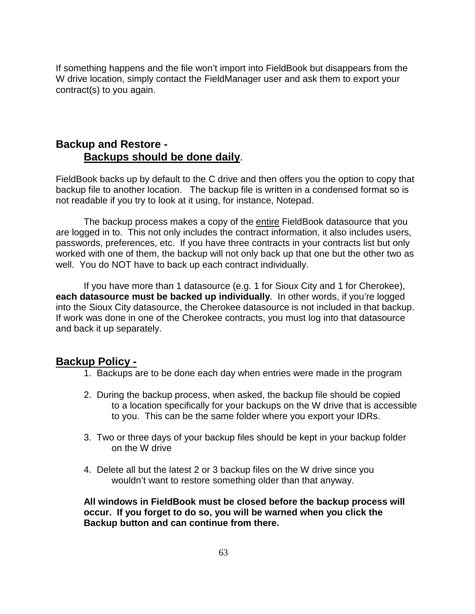If something happens and the file won't import into FieldBook but disappears from the W drive location, simply contact the FieldManager user and ask them to export your contract(s) to you again.

## **Backup and Restore - Backups should be done daily**.

FieldBook backs up by default to the C drive and then offers you the option to copy that backup file to another location. The backup file is written in a condensed format so is not readable if you try to look at it using, for instance, Notepad.

The backup process makes a copy of the entire FieldBook datasource that you are logged in to. This not only includes the contract information, it also includes users, passwords, preferences, etc. If you have three contracts in your contracts list but only worked with one of them, the backup will not only back up that one but the other two as well. You do NOT have to back up each contract individually.

If you have more than 1 datasource (e.g. 1 for Sioux City and 1 for Cherokee), **each datasource must be backed up individually**. In other words, if you're logged into the Sioux City datasource, the Cherokee datasource is not included in that backup. If work was done in one of the Cherokee contracts, you must log into that datasource and back it up separately.

## **Backup Policy -**

- 1. Backups are to be done each day when entries were made in the program
- 2. During the backup process, when asked, the backup file should be copied to a location specifically for your backups on the W drive that is accessible to you. This can be the same folder where you export your IDRs.
- 3. Two or three days of your backup files should be kept in your backup folder on the W drive
- 4. Delete all but the latest 2 or 3 backup files on the W drive since you wouldn't want to restore something older than that anyway.

**All windows in FieldBook must be closed before the backup process will occur. If you forget to do so, you will be warned when you click the Backup button and can continue from there.**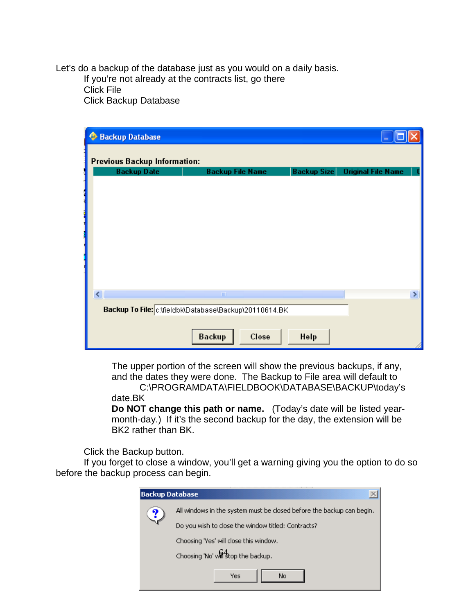Let's do a backup of the database just as you would on a daily basis. If you're not already at the contracts list, go there Click File Click Backup Database

| <b>Backup Database</b><br>$\mathbf{\Theta}$            |                         |       |                    |                           |   |
|--------------------------------------------------------|-------------------------|-------|--------------------|---------------------------|---|
| <b>Previous Backup Information:</b>                    |                         |       |                    |                           |   |
| <b>Backup Date</b>                                     | <b>Backup File Name</b> |       | <b>Backup Size</b> | <b>Original File Name</b> |   |
|                                                        |                         |       |                    |                           |   |
|                                                        |                         |       |                    |                           |   |
|                                                        |                         |       |                    |                           |   |
|                                                        |                         |       |                    |                           |   |
|                                                        |                         |       |                    |                           |   |
| <b>The contract of the contract of the contract</b>    |                         |       |                    |                           |   |
|                                                        |                         |       |                    |                           |   |
|                                                        |                         |       |                    |                           |   |
|                                                        |                         |       |                    |                           |   |
| ∢                                                      | III                     |       |                    |                           | × |
| Backup To File: c:\fieldbk\Database\Backup\20110614.BK |                         |       |                    |                           |   |
|                                                        |                         |       |                    |                           |   |
|                                                        | <b>Backup</b>           | Close | Help               |                           |   |

The upper portion of the screen will show the previous backups, if any, and the dates they were done. The Backup to File area will default to

C:\PROGRAMDATA\FIELDBOOK\DATABASE\BACKUP\today's date.BK

**Do NOT change this path or name.** (Today's date will be listed yearmonth-day.) If it's the second backup for the day, the extension will be BK2 rather than BK.

Click the Backup button.

If you forget to close a window, you'll get a warning giving you the option to do so before the backup process can begin.

| <b>Backup Database</b> |                                                                       |  |  |  |  |
|------------------------|-----------------------------------------------------------------------|--|--|--|--|
| Y                      | All windows in the system must be closed before the backup can begin. |  |  |  |  |
|                        | Do you wish to close the window titled: Contracts?                    |  |  |  |  |
|                        | Choosing 'Yes' will close this window.                                |  |  |  |  |
|                        | Choosing 'No' will stop the backup.                                   |  |  |  |  |
|                        | Yes<br>No.                                                            |  |  |  |  |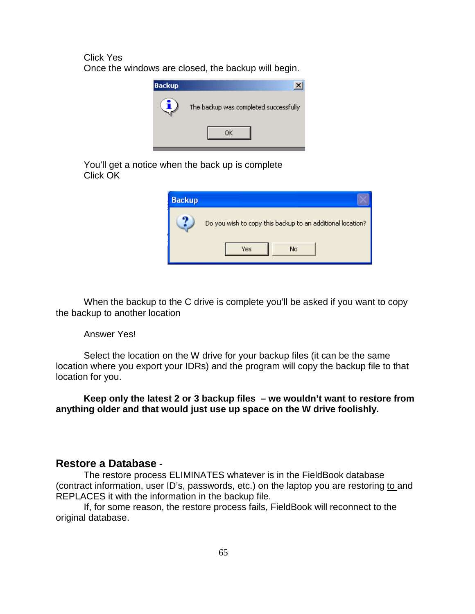Click Yes

Once the windows are closed, the backup will begin.



You'll get a notice when the back up is complete Click OK



When the backup to the C drive is complete you'll be asked if you want to copy the backup to another location

#### Answer Yes!

Select the location on the W drive for your backup files (it can be the same location where you export your IDRs) and the program will copy the backup file to that location for you.

**Keep only the latest 2 or 3 backup files – we wouldn't want to restore from anything older and that would just use up space on the W drive foolishly.**

### **Restore a Database** -

The restore process ELIMINATES whatever is in the FieldBook database (contract information, user ID's, passwords, etc.) on the laptop you are restoring to and REPLACES it with the information in the backup file.

If, for some reason, the restore process fails, FieldBook will reconnect to the original database.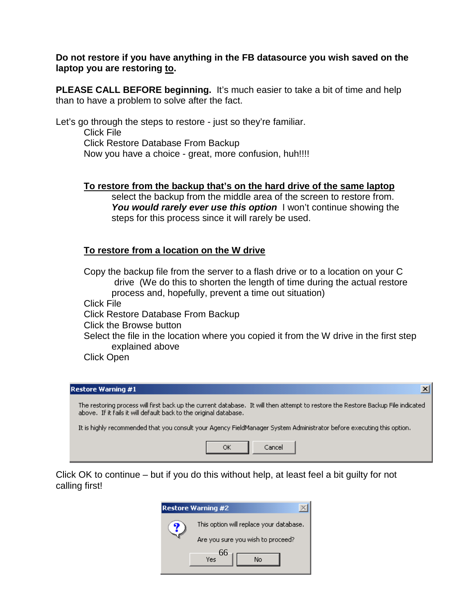### **Do not restore if you have anything in the FB datasource you wish saved on the laptop you are restoring to.**

**PLEASE CALL BEFORE beginning.** It's much easier to take a bit of time and help than to have a problem to solve after the fact.

Let's go through the steps to restore - just so they're familiar. Click File Click Restore Database From Backup Now you have a choice - great, more confusion, huh!!!!

### **To restore from the backup that's on the hard drive of the same laptop**

select the backup from the middle area of the screen to restore from. You would rarely ever use this option I won't continue showing the steps for this process since it will rarely be used.

## **To restore from a location on the W drive**

Copy the backup file from the server to a flash drive or to a location on your C drive (We do this to shorten the length of time during the actual restore process and, hopefully, prevent a time out situation) Click File Click Restore Database From Backup Click the Browse button Select the file in the location where you copied it from the W drive in the first step

explained above

Click Open

#### **Restore Warning #1**

The restoring process will first back up the current database. It will then attempt to restore the Restore Backup File indicated above. If it fails it will default back to the original database.

 $\vert x \vert$ 

It is highly recommended that you consult your Agency FieldManager System Administrator before executing this option.



Click OK to continue – but if you do this without help, at least feel a bit guilty for not calling first!

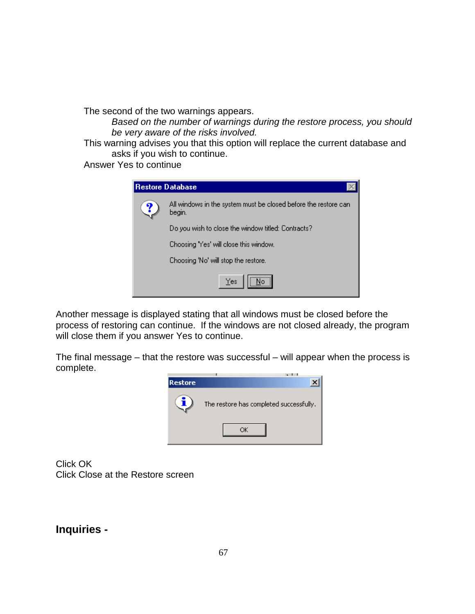The second of the two warnings appears.

*Based on the number of warnings during the restore process, you should be very aware of the risks involved.* 

This warning advises you that this option will replace the current database and asks if you wish to continue.

Answer Yes to continue

| Restore Database |                                                                           |  |  |  |
|------------------|---------------------------------------------------------------------------|--|--|--|
| Y                | All windows in the system must be closed before the restore can<br>begin. |  |  |  |
|                  | Do you wish to close the window titled: Contracts?                        |  |  |  |
|                  | Choosing 'Yes' will close this window.                                    |  |  |  |
|                  | Choosing 'No' will stop the restore.                                      |  |  |  |
|                  | Yes                                                                       |  |  |  |

Another message is displayed stating that all windows must be closed before the process of restoring can continue. If the windows are not closed already, the program will close them if you answer Yes to continue.

The final message – that the restore was successful – will appear when the process is complete.



Click OK Click Close at the Restore screen

**Inquiries -**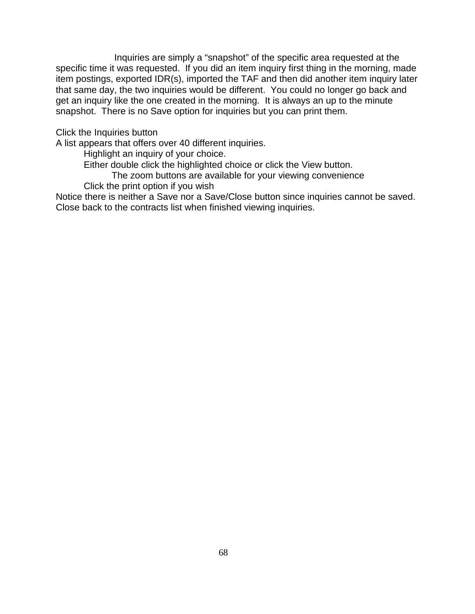Inquiries are simply a "snapshot" of the specific area requested at the specific time it was requested. If you did an item inquiry first thing in the morning, made item postings, exported IDR(s), imported the TAF and then did another item inquiry later that same day, the two inquiries would be different. You could no longer go back and get an inquiry like the one created in the morning. It is always an up to the minute snapshot. There is no Save option for inquiries but you can print them.

Click the Inquiries button

A list appears that offers over 40 different inquiries.

Highlight an inquiry of your choice.

Either double click the highlighted choice or click the View button.

The zoom buttons are available for your viewing convenience

Click the print option if you wish

Notice there is neither a Save nor a Save/Close button since inquiries cannot be saved. Close back to the contracts list when finished viewing inquiries.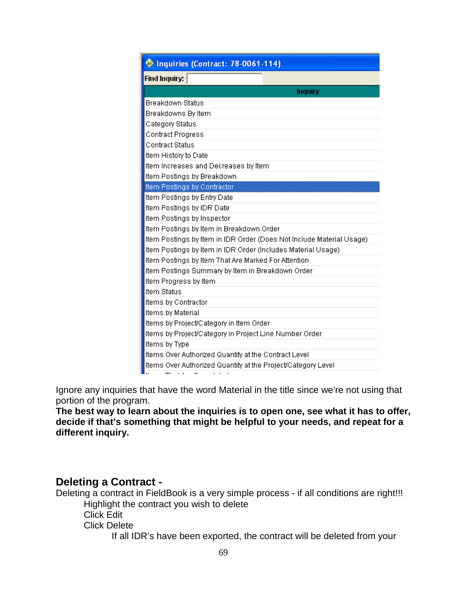| Inquiries (Contract: 78-0061-114)                                                                 |  |  |
|---------------------------------------------------------------------------------------------------|--|--|
| <b>Find Inquiry:</b>                                                                              |  |  |
| Inquiry                                                                                           |  |  |
| <b>Breakdown Status</b>                                                                           |  |  |
| Breakdowns By Item                                                                                |  |  |
| Category Status                                                                                   |  |  |
| <b>Contract Progress</b>                                                                          |  |  |
| <b>Contract Status</b>                                                                            |  |  |
| Item History to Date                                                                              |  |  |
| Item Increases and Decreases by Item                                                              |  |  |
| Item Postings by Breakdown                                                                        |  |  |
| Item Postings by Contractor                                                                       |  |  |
| Item Postings by Entry Date                                                                       |  |  |
| Item Postings by IDR Date                                                                         |  |  |
| Item Postings by Inspector                                                                        |  |  |
| Item Postings by Item in Breakdown Order                                                          |  |  |
| Item Postings by Item in IDR Order (Does Not Include Material Usage)                              |  |  |
| Item Postings by Item in IDR Order (Includes Material Usage)                                      |  |  |
| Item Postings by Item That Are Marked For Attention                                               |  |  |
| Item Postings Summary by Item in Breakdown Order                                                  |  |  |
| Item Progress by Item                                                                             |  |  |
| <b>Item Status</b>                                                                                |  |  |
| Items by Contractor                                                                               |  |  |
| Items by Material                                                                                 |  |  |
| Items by Project/Category in Item Order                                                           |  |  |
| Items by Project/Category in Project Line Number Order                                            |  |  |
| Items by Type                                                                                     |  |  |
| Items Over Authorized Quantity at the Contract Level                                              |  |  |
| Items Over Authorized Quantity at the Project/Category Level<br><b>Contract Contract Contract</b> |  |  |

Ignore any inquiries that have the word Material in the title since we're not using that portion of the program.

**The best way to learn about the inquiries is to open one, see what it has to offer, decide if that's something that might be helpful to your needs, and repeat for a different inquiry.**

## **Deleting a Contract -**

Deleting a contract in FieldBook is a very simple process - if all conditions are right!!! Highlight the contract you wish to delete Click Edit

Click Delete

If all IDR's have been exported, the contract will be deleted from your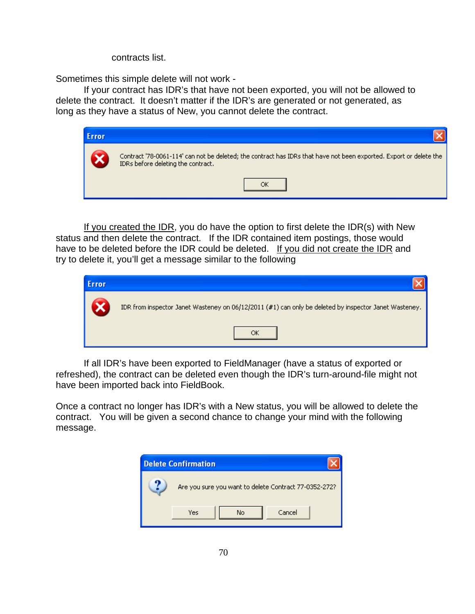contracts list.

Sometimes this simple delete will not work -

If your contract has IDR's that have not been exported, you will not be allowed to delete the contract. It doesn't matter if the IDR's are generated or not generated, as long as they have a status of New, you cannot delete the contract.

| <b>Error</b> |                                                                                                                                                          |
|--------------|----------------------------------------------------------------------------------------------------------------------------------------------------------|
|              | Contract '78-0061-114' can not be deleted; the contract has IDRs that have not been exported. Export or delete the<br>IDRs before deleting the contract. |
|              |                                                                                                                                                          |

If you created the IDR, you do have the option to first delete the IDR(s) with New status and then delete the contract. If the IDR contained item postings, those would have to be deleted before the IDR could be deleted. If you did not create the IDR and try to delete it, you'll get a message similar to the following

| Error |                                                                                                       |
|-------|-------------------------------------------------------------------------------------------------------|
|       | IDR from inspector Janet Wasteney on 06/12/2011 (#1) can only be deleted by inspector Janet Wasteney. |
|       |                                                                                                       |

If all IDR's have been exported to FieldManager (have a status of exported or refreshed), the contract can be deleted even though the IDR's turn-around-file might not have been imported back into FieldBook.

Once a contract no longer has IDR's with a New status, you will be allowed to delete the contract. You will be given a second chance to change your mind with the following message.